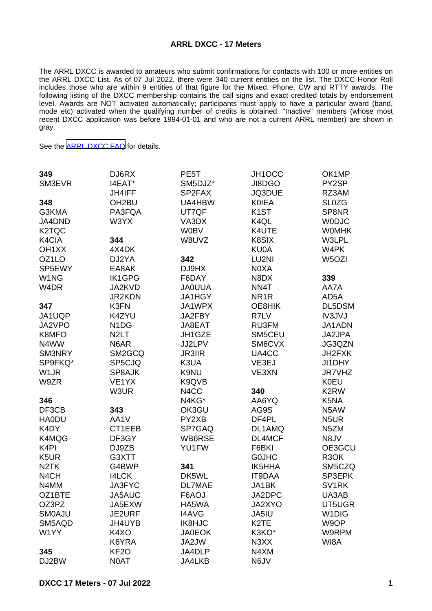## **ARRL DXCC - 17 Meters**

The ARRL DXCC is awarded to amateurs who submit confirmations for contacts with 100 or more entities on the ARRL DXCC List. As of 07 Jul 2022, there were 340 current entities on the list. The DXCC Honor Roll includes those who are within 9 entities of that figure for the Mixed, Phone, CW and RTTY awards. The following listing of the DXCC membership contains the call signs and exact credited totals by endorsement level. Awards are NOT activated automatically; participants must apply to have a particular award (band, mode etc) activated when the qualifying number of credits is obtained. "Inactive" members (whose most recent DXCC application was before 1994-01-01 and who are not a current ARRL member) are shown in gray.

See the [ARRL DXCC FAQ](http://www.arrl.org/dxcc-faq/) for details.

| 349                | DJ6RX                         | PE <sub>5</sub> T | JH1OCC                        | OK1MP                         |
|--------------------|-------------------------------|-------------------|-------------------------------|-------------------------------|
| SM3EVR             | I4EAT*                        | SM5DJZ*           | JI8DGO                        | PY2SP                         |
|                    | <b>JH4IFF</b>                 | SP2FAX            | JQ3DUE                        | RZ3AM                         |
| 348                | OH <sub>2</sub> BU            | UA4HBW            | <b>KOIEA</b>                  | <b>SL0ZG</b>                  |
| G3KMA              | PA3FQA                        | UT7QF             | K <sub>1</sub> ST             | SP8NR                         |
| JA4DND             | W3YX                          | VA3DX             | K4QL                          | <b>WODJC</b>                  |
| K <sub>2</sub> TQC |                               | <b>W0BV</b>       | K4UTE                         | <b>WOMHK</b>                  |
| K4CIA              | 344                           | W8UVZ             | K8SIX                         | W3LPL                         |
| OH <sub>1</sub> XX | 4X4DK                         |                   | KU0A                          | W4PK                          |
| OZ1LO              | DJ2YA                         | 342               | LU2NI                         | W <sub>5</sub> OZI            |
| SP5EWY             | EA8AK                         | DJ9HX             | N0XA                          |                               |
| W <sub>1</sub> NG  | <b>IK1GPG</b>                 | F6DAY             | N8DX                          | 339                           |
| W <sub>4</sub> DR  | <b>JA2KVD</b>                 | <b>JAOUUA</b>     | NN4T                          | AA7A                          |
|                    | <b>JR2KDN</b>                 | JA1HGY            | NR <sub>1</sub> R             | AD5A                          |
| 347                | K3FN                          | JA1WPX            | OE8HIK                        | DL5DSM                        |
| JA1UQP             | K4ZYU                         | JA2FBY            | R7LV                          | IV3JVJ                        |
| JA2VPO             | N <sub>1</sub> D <sub>G</sub> | JA8EAT            | RU3FM                         | JA1ADN                        |
| K8MFO              | N <sub>2</sub> LT             | JH1GZE            | SM5CEU                        | JA2JPA                        |
| N4WW               | N6AR                          | JJ2LPV            | SM6CVX                        | JG3QZN                        |
| SM3NRY             | SM2GCQ                        | <b>JR3IIR</b>     | UA4CC                         | JH2FXK                        |
| SP9FKQ*            | SP5CJQ                        | K3UA              | VE3EJ                         | JI1DHY                        |
| W <sub>1</sub> JR  | SP8AJK                        | K9NU              | VE3XN                         | <b>JR7VHZ</b>                 |
| W9ZR               | VE1YX                         | K9QVB             |                               | <b>K0EU</b>                   |
|                    | W3UR                          | N4CC              | 340                           | K2RW                          |
| 346                |                               | N4KG*             | AA6YQ                         | K <sub>5</sub> N <sub>A</sub> |
| DF3CB              | 343                           | OK3GU             | AG9S                          | N5AW                          |
| <b>HA0DU</b>       | AA1V                          | PY2XB             | DF4PL                         | N <sub>5</sub> UR             |
| K4DY               | CT1EEB                        | SP7GAQ            | DL1AMQ                        | N <sub>5</sub> ZM             |
| K4MQG              | DF3GY                         | WB6RSE            | DL4MCF                        | N8JV                          |
| K <sub>4</sub> PI  | DJ9ZB                         | YU1FW             | F6BKI                         | OE3GCU                        |
| K <sub>5</sub> UR  | G3XTT                         |                   | <b>GOJHC</b>                  | R <sub>3</sub> OK             |
| N <sub>2</sub> TK  | G4BWP                         | 341               | <b>IK5HHA</b>                 | SM5CZQ                        |
| N <sub>4</sub> CH  | <b>I4LCK</b>                  | DK5WL             | <b>IT9DAA</b>                 | SP3EPK                        |
| N4MM               | <b>JA3FYC</b>                 | <b>DL7MAE</b>     | JA1BK                         | SV <sub>1</sub> RK            |
| OZ1BTE             | JA5AUC                        | F6AOJ             | JA2DPC                        | UA3AB                         |
| OZ3PZ              | JA5EXW                        | HA5WA             | JA2XYO                        | UT5UGR                        |
| <b>SMOAJU</b>      | <b>JE2URF</b>                 | <b>I4AVG</b>      | JA5IU                         | W <sub>1</sub> DIG            |
| SM5AQD             | JH4UYB                        | IK8HJC            | K <sub>2</sub> TE             | W9OP                          |
| W1YY               | K4XO                          | <b>JA0EOK</b>     | K3KO*                         | W9RPM                         |
|                    | K6YRA                         | JA2JW             | N <sub>3</sub> X <sub>X</sub> | WI8A                          |
| 345                | KF <sub>2</sub> O             | JA4DLP            | N4XM                          |                               |
| DJ2BW              | N0AT                          | <b>JA4LKB</b>     | N6JV                          |                               |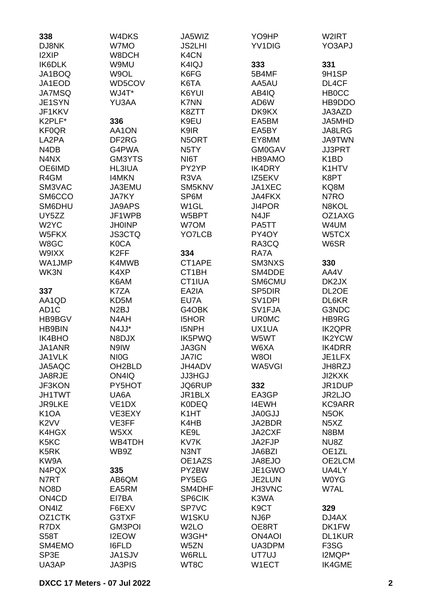| 338                            | W4DKS              | JA5WIZ                        | YO9HP               | W2IRT                                              |
|--------------------------------|--------------------|-------------------------------|---------------------|----------------------------------------------------|
| DJ8NK                          | W7MO               | <b>JS2LHI</b>                 | <b>YV1DIG</b>       | YO3APJ                                             |
| <b>I2XIP</b>                   | W8DCH              | K <sub>4</sub> C <sub>N</sub> |                     |                                                    |
| IK6DLK                         | W9MU               | K4IQJ                         | 333                 | 331                                                |
| JA1BOQ                         | W9OL               | K6FG                          | 5B4MF               | 9H1SP                                              |
| JA1EOD                         | WD5COV             | K6TA                          | AA5AU               | DL4CF                                              |
| <b>JA7MSQ</b>                  | WJ4T*              | K6YUI                         | AB4IQ               | <b>HB0CC</b>                                       |
| JE1SYN                         | YU3AA              | K7NN                          | AD6W                | HB9DDO                                             |
| JF1KKV                         |                    | K8ZTT                         | DK9KX               | JA3AZD                                             |
| K2PLF*                         | 336                | K9EU                          | EA5BM               | JA5MHD                                             |
| <b>KF0QR</b>                   | AA1ON              | K9IR                          | EA5BY               | JA8LRG                                             |
| LA2PA                          | DF2RG              | N5ORT                         | EY8MM               | <b>JA9TWN</b>                                      |
| N <sub>4</sub> D <sub>B</sub>  | G4PWA              | N <sub>5</sub> TY             | <b>GM0GAV</b>       | <b>JJ3PRT</b>                                      |
| N4NX                           | GM3YTS             | NI6T                          | HB9AMO              | K <sub>1</sub> BD                                  |
| OE6IMD                         | <b>HL3IUA</b>      | PY2YP                         | <b>IK4DRY</b>       | K1HTV                                              |
| R4GM                           | <b>I4MKN</b>       | R3VA                          | IZ5EKV              | K8PT                                               |
| SM3VAC                         | JA3EMU             | SM5KNV                        | JA1XEC              | KQ8M                                               |
| SM6CCO                         | <b>JA7KY</b>       | SP6M                          | <b>JA4FKX</b>       | N7RO                                               |
| SM6DHU                         | <b>JA9APS</b>      | W <sub>1</sub> GL             | <b>JI4POR</b>       | N8KOL                                              |
| UY5ZZ                          | JF1WPB             | W5BPT                         | N4JF                | OZ1AXG                                             |
| W <sub>2</sub> YC              | <b>JH0INP</b>      | W7OM                          | PA5TT               | W4UM                                               |
| W5FKX                          | <b>JS3CTQ</b>      | YO7LCB                        | PY4OY               | W5TCX                                              |
| W8GC                           | <b>K0CA</b>        |                               | RA3CQ               | W6SR                                               |
| W9IXX                          | K <sub>2</sub> FF  | 334                           | RA7A                |                                                    |
| WA1JMP                         | K4MWB              | CT1APE                        | SM3NXS              | 330                                                |
| WK3N                           | K4XP               | CT <sub>1</sub> BH            | SM4DDE              | AA4V                                               |
|                                | K6AM               | CT1IUA                        | SM6CMU              | DK2JX                                              |
| 337                            | K7ZA               | EA2IA                         | SP <sub>5</sub> DIR | DL <sub>2</sub> OE                                 |
| AA1QD                          | KD5M               | EU7A                          | SV <sub>1</sub> DPI | DL6KR                                              |
| AD <sub>1</sub> C              | N <sub>2</sub> BJ  | G4OBK                         | SV1FJA              | G3NDC                                              |
| HB9BGV                         | N4AH               | <b>I5HOR</b>                  | <b>UR0MC</b>        | HB9RG                                              |
| <b>HB9BIN</b>                  | N4JJ*              | I5NPH                         | UX1UA               | <b>IK2QPR</b>                                      |
| <b>IK4BHO</b>                  | N8DJX              | IK5PWQ                        | W5WT                | <b>IK2YCW</b>                                      |
| JA1ANR                         | N9IW               | JA3GN                         | W6XA                | <b>IK4DRR</b>                                      |
| JA1VLK                         | NI <sub>0</sub> G  | <b>JA7IC</b>                  | W8OI                | JE1LFX                                             |
| JA5AQC                         | OH2BLD             | JH4ADV                        | WA5VGI              | JH8RZJ                                             |
| JA8RJE                         | ON4IQ              | <b>JJ3HGJ</b>                 |                     | <b>JI2KXK</b>                                      |
| JF3KON                         | PY5HOT             | JQ6RUP                        | 332                 | JR1DUP                                             |
| <b>JH1TWT</b>                  | UA6A               | JR1BLX                        | EA3GP               | JR2LJO                                             |
| <b>JR9LKE</b>                  | VE <sub>1</sub> DX | <b>K0DEQ</b>                  | <b>I4EWH</b>        | <b>KC9ARR</b>                                      |
| K <sub>1</sub> OA              | VE3EXY<br>VE3FF    | K <sub>1</sub> HT             | <b>JA0GJJ</b>       | N <sub>5</sub> OK<br>N <sub>5</sub> X <sub>Z</sub> |
| K <sub>2</sub> VV<br>K4HGX     | W5XX               | K4HB<br>KE9L                  | JA2BDR<br>JA2CXF    | N8BM                                               |
| K5KC                           | WB4TDH             | KV7K                          | JA2FJP              | NU8Z                                               |
| K <sub>5</sub> RK              | WB9Z               | N3NT                          | JA6BZI              | OE1ZL                                              |
| KW9A                           |                    | OE1AZS                        | JA8EJO              | OE2LCM                                             |
| N4PQX                          | 335                | PY2BW                         | JE1GWO              | UA4LY                                              |
| N7RT                           | AB6QM              | PY5EG                         | <b>JE2LUN</b>       | <b>WOYG</b>                                        |
| NO <sub>8</sub> D              | EA5RM              | SM4DHF                        | JH3VNC              | W7AL                                               |
| ON <sub>4</sub> C <sub>D</sub> | EI7BA              | <b>SP6CIK</b>                 | K3WA                |                                                    |
| ON4IZ                          | F6EXV              | SP7VC                         | K9CT                | 329                                                |
| OZ <sub>1</sub> CTK            | G3TXF              | W1SKU                         | NJ6P                | DJ4AX                                              |
| R7DX                           | GM3POI             | W <sub>2</sub> LO             | OE8RT               | DK1FW                                              |
| <b>S58T</b>                    | <b>I2EOW</b>       | W3GH*                         | <b>ON4AOI</b>       | <b>DL1KUR</b>                                      |
| SM4EMO                         | <b>I6FLD</b>       | W5ZN                          | UA3DPM              | F <sub>3</sub> SG                                  |
| SP3E                           | JA1SJV             | W6RLL                         | UT7UJ               | I2MQP*                                             |
| UA3AP                          | <b>JA3PIS</b>      | WT8C                          | W1ECT               | IK4GME                                             |
|                                |                    |                               |                     |                                                    |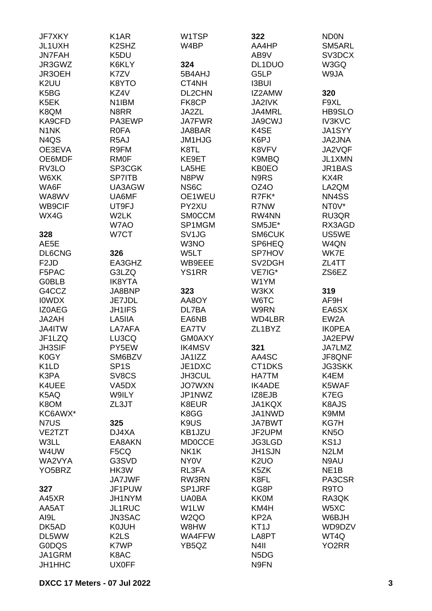| JF7XKY                        | K <sub>1</sub> AR              | W1TSP             | 322                           | <b>NDON</b>        |
|-------------------------------|--------------------------------|-------------------|-------------------------------|--------------------|
| JL1UXH                        | K <sub>2</sub> SH <sub>Z</sub> | W4BP              | AA4HP                         | SM5ARL             |
| <b>JN7FAH</b>                 | K5DU                           |                   | AB9V                          | SV3DCX             |
|                               |                                |                   |                               |                    |
| JR3GWZ                        | K6KLY                          | 324               | DL1DUO                        | W3GQ               |
| JR3OEH                        | K7ZV                           | 5B4AHJ            | G5LP                          | W9JA               |
| K <sub>2</sub> UU             | K8YTO                          | CT4NH             | <b>I3BUI</b>                  |                    |
| K5BG                          | KZ4V                           | DL2CHN            | IZ2AMW                        | 320                |
| K5EK                          | N1IBM                          | FK8CP             | <b>JA2IVK</b>                 | F9XL               |
| K8QM                          | N8RR                           | JA2ZL             | JA4MRL                        | HB9SLO             |
| KA9CFD                        | PA3EWP                         | <b>JA7FWR</b>     | <b>JA9CWJ</b>                 | <b>IV3KVC</b>      |
| N <sub>1</sub> N <sub>K</sub> | <b>R0FA</b>                    | JA8BAR            | K4SE                          | JA1SYY             |
| N <sub>4</sub> Q <sub>S</sub> | R <sub>5</sub> AJ              | JM1HJG            | K6PJ                          | JA2JNA             |
| OE3EVA                        | R9FM                           | K8TL              | K8VFV                         | JA2VQF             |
|                               |                                |                   |                               |                    |
| OE6MDF                        | <b>RMOF</b>                    | KE9ET             | K9MBQ                         | JL1XMN             |
| RV3LO                         | SP3CGK                         | LA5HE             | <b>KB0EO</b>                  | JR1BAS             |
| W6XK                          | <b>SP7ITB</b>                  | N8PW              | N9RS                          | KX4R               |
| WA6F                          | UA3AGW                         | NS <sub>6</sub> C | OZ4O                          | LA2QM              |
| WA8WV                         | UA6MF                          | OE1WEU            | R7FK*                         | NN4SS              |
| <b>WB9CIF</b>                 | UT9FJ                          | PY2XU             | R7NW                          | NT0V*              |
| WX4G                          | W2LK                           | <b>SMOCCM</b>     | RW4NN                         | RU3QR              |
|                               | W7AO                           | SP1MGM            | SM5JE*                        | RX3AGD             |
| 328                           | W7CT                           | SV <sub>1JG</sub> | SM6CUK                        | US5WE              |
| AE5E                          |                                | W3NO              | SP6HEQ                        | W4QN               |
|                               |                                |                   |                               |                    |
| <b>DL6CNG</b>                 | 326                            | W5LT              | SP7HOV                        | WK7E               |
| F <sub>2</sub> JD             | EA3GHZ                         | WB9EEE            | SV2DGH                        | ZL4TT              |
| F5PAC                         | G3LZQ                          | <b>YS1RR</b>      | VE7IG*                        | ZS6EZ              |
| <b>GOBLB</b>                  | <b>IK8YTA</b>                  |                   | W1YM                          |                    |
| G4CCZ                         | JA8BNP                         | 323               | W3KX                          | 319                |
| <b>IOWDX</b>                  | JE7JDL                         | AA8OY             | W6TC                          | AF9H               |
| <b>IZOAEG</b>                 | <b>JH1IFS</b>                  | DL7BA             | W9RN                          | EA6SX              |
| JA2AH                         | LA5IIA                         | EA6NB             | WD4LBR                        | EW <sub>2</sub> A  |
| JA4ITW                        | LA7AFA                         | EA7TV             | ZL1BYZ                        | <b>IKOPEA</b>      |
| JF1LZQ                        | LU3CQ                          | <b>GM0AXY</b>     |                               | JA2EPW             |
| <b>JH3SIF</b>                 | PY5EW                          | <b>IK4MSV</b>     | 321                           | JA7LMZ             |
|                               |                                |                   |                               |                    |
| K0GY                          | SM6BZV                         | JA1IZZ            | AA4SC                         | JF8QNF             |
| K <sub>1</sub> LD             | SP <sub>1</sub> S              | JE1DXC            | CT1DKS                        | <b>JG3SKK</b>      |
| K3PA                          | SV8CS                          | JH3CUL            | <b>HA7TM</b>                  | K4EM               |
| K4UEE                         | VA5DX                          | <b>JO7WXN</b>     | <b>IK4ADE</b>                 | K5WAF              |
| K5AQ                          | <b>W9ILY</b>                   | JP1NWZ            | IZ8EJB                        | K7EG               |
| K8OM                          | ZL3JT                          | K8EUR             | JA1KQX                        | K8AJS              |
| KC6AWX*                       |                                | K8GG              | JA1NWD                        | K9MM               |
| N7US                          | 325                            | K9US              | <b>JA7BWT</b>                 | KG7H               |
| VE2TZT                        | DJ4XA                          | KB1JZU            | JF2UPM                        | <b>KN5O</b>        |
| W3LL                          | EA8AKN                         | <b>MD0CCE</b>     | <b>JG3LGD</b>                 | KS <sub>1</sub> J  |
| W4UW                          | F5CQ                           | NK1K              | <b>JH1SJN</b>                 | N <sub>2</sub> LM  |
| WA2VYA                        | G3SVD                          | NY0V              | K <sub>2</sub> UO             | N9AU               |
|                               |                                |                   |                               |                    |
| YO <sub>5</sub> BRZ           | HK3W                           | RL3FA             | K5ZK                          | NE <sub>1</sub> B  |
|                               | <b>JA7JWF</b>                  | RW3RN             | K8FL                          | PA3CSR             |
| 327                           | JF1PUW                         | SP1JRF            | KG8P                          | R9TO               |
| A45XR                         | JH1NYM                         | UA0BA             | <b>KK0M</b>                   | RA3QK              |
| AA5AT                         | <b>JL1RUC</b>                  | W1LW              | KM4H                          | W5XC               |
| AI9L                          | <b>JN3SAC</b>                  | W <sub>2Q</sub> O | KP <sub>2</sub> A             | W6BJH              |
| DK5AD                         | <b>K0JUH</b>                   | W8HW              | KT1J                          | WD9DZV             |
| DL5WW                         | K <sub>2</sub> L <sub>S</sub>  | WA4FFW            | LA8PT                         | WT4Q               |
| <b>GODQS</b>                  | K7WP                           | YB5QZ             | N <sub>4</sub> II             | YO <sub>2</sub> RR |
| JA1GRM                        | K8AC                           |                   | N <sub>5</sub> D <sub>G</sub> |                    |
| JH1HHC                        | <b>UX0FF</b>                   |                   | N9FN                          |                    |
|                               |                                |                   |                               |                    |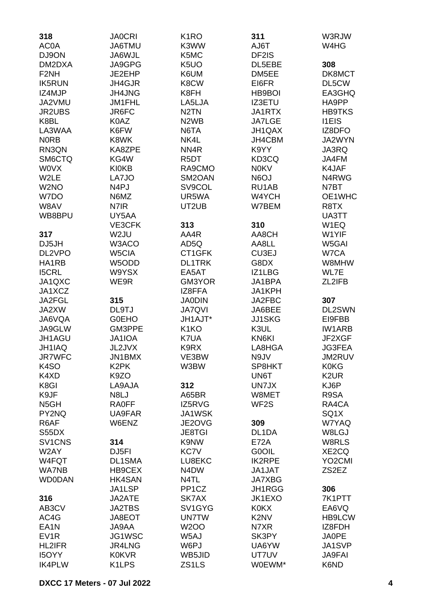| 318<br>AC0A                     | <b>JA0CRI</b><br>JA6TMU | K <sub>1</sub> RO<br>K3WW     | 311<br>AJ6T                   | W3RJW<br>W4HG       |
|---------------------------------|-------------------------|-------------------------------|-------------------------------|---------------------|
| DJ9ON                           | JA6WJL                  | K5MC                          | DF2IS                         |                     |
| DM2DXA                          | JA9GPG                  | K <sub>5</sub> UO             | DL5EBE                        | 308                 |
| F <sub>2</sub> NH               | JE2EHP                  | K6UM                          | DM5EE                         | DK8MCT              |
| <b>IK5RUN</b>                   | <b>JH4GJR</b>           | K8CW                          | EI6FR                         | DL5CW               |
| IZ4MJP                          | <b>JH4JNG</b>           | K8FH                          | HB9BOI                        | EA3GHQ              |
| JA2VMU                          | JM1FHL                  | LA5LJA                        | <b>IZ3ETU</b>                 | HA9PP               |
| <b>JR2UBS</b>                   | JR6FC                   | N <sub>2</sub> TN             | JA1RTX                        | <b>HB9TKS</b>       |
| K8BL                            | K0AZ                    | N <sub>2</sub> W <sub>B</sub> | <b>JA7LGE</b>                 | <b>I1EIS</b>        |
| LA3WAA                          | K6FW                    | N6TA                          | JH1QAX                        | IZ8DFO              |
| <b>NORB</b>                     | K8WK                    | NK4L                          | JH4CBM                        | JA2WYN              |
| RN3QN                           | KA8ZPE                  | NN <sub>4</sub> R             | K9YY                          | JA3RQ               |
| SM6CTQ                          | KG4W                    | R <sub>5</sub> DT             | KD3CQ                         | JA4FM               |
| <b>WOVX</b>                     | <b>KI0KB</b>            | RA9CMO                        | <b>N0KV</b>                   | K4JAF               |
| W2LE                            | LA7JO                   | SM2OAN                        | N6OJ                          | N4RWG               |
| W <sub>2</sub> NO               | N <sub>4</sub> PJ       | SV9COL                        | RU1AB                         | N7BT                |
| W7DO                            | N6MZ                    | UR5WA                         | W4YCH                         | OE1WHC              |
| W8AV                            | N7IR                    | UT2UB                         | W7BEM                         | R <sub>8</sub> TX   |
| WB8BPU                          | UY5AA                   |                               |                               | UA3TT               |
|                                 | VE3CFK                  | 313                           | 310                           | W1EQ                |
| 317                             | W2JU                    | AA4R                          | AA8CH                         | W1YIF               |
| DJ5JH                           | W3ACO                   | AD5Q                          | AA8LL                         | W5GAI               |
| DL2VPO                          | W5CIA                   | CT1GFK                        | CU3EJ                         | W7CA                |
| HA1RB                           | W5ODD                   | <b>DL1TRK</b>                 | G8DX                          | W8MHW               |
| <b>I5CRL</b>                    | W9YSX                   | EA5AT                         | IZ1LBG                        | WL7E                |
| JA1QXC                          | WE9R                    | GM3YOR                        | JA1BPA                        | ZL2IFB              |
| JA1XCZ                          |                         | IZ8FFA                        | JA1KPH                        |                     |
| JA2FGL                          | 315                     | <b>JA0DIN</b>                 | JA2FBC                        | 307                 |
| JA2XW                           | DL9TJ                   | <b>JA7QVI</b>                 | JA6BEE                        | DL2SWN              |
| JA6VQA                          | <b>GOEHO</b>            | JH1AJT*                       | <b>JJ1SKG</b>                 | EI9FBB              |
| JA9GLW                          | GM3PPE                  | K <sub>1</sub> KO             | K3UL                          | <b>IW1ARB</b>       |
| JH1AGU                          | <b>JA1IOA</b>           | K7UA                          | KN6KI                         | JF2XGF              |
| JH1IAQ                          | JL2JVX                  | K9RX                          | LA8HGA                        | JG3FEA              |
| <b>JR7WFC</b>                   | JN1BMX                  | VE3BW                         | N9JV                          | JM2RUV              |
| K <sub>4</sub> SO               | K <sub>2</sub> PK       | W3BW                          | SP8HKT                        | <b>K0KG</b>         |
| K4XD                            | K9ZO                    |                               | UN6T                          | K <sub>2</sub> UR   |
| K8GI                            | LA9AJA                  | 312                           | UN7JX                         | KJ6P                |
| K9JF                            | N8LJ                    | A65BR                         | W8MET                         | R9SA                |
| N <sub>5</sub> GH               | <b>RA0FF</b>            | IZ5RVG                        | WF <sub>2</sub> S             | RA4CA               |
| PY2NQ                           | UA9FAR<br>W6ENZ         | JA1WSK                        |                               | SQ1X<br>W7YAQ       |
| R6AF<br>S55DX                   |                         | JE2OVG<br><b>JE8TGI</b>       | 309<br>DL1DA                  | W8LGJ               |
| SV <sub>1</sub> CN <sub>S</sub> | 314                     | K9NW                          | <b>E72A</b>                   | W8RLS               |
| W2AY                            | DJ5FI                   | KC7V                          | G0OIL                         | XE2CQ               |
| W4FQT                           | DL1SMA                  | LU8EKC                        | <b>IK2RPE</b>                 | YO <sub>2</sub> CMI |
| <b>WA7NB</b>                    | HB9CEX                  | N4DW                          | JA1JAT                        | ZS2EZ               |
| <b>WD0DAN</b>                   | HK4SAN                  | N4TL                          | <b>JA7XBG</b>                 |                     |
|                                 | JA1LSP                  | PP <sub>1</sub> CZ            | JH1RGG                        | 306                 |
| 316                             | JA2ATE                  | SK7AX                         | JK1EXO                        | 7K1PTT              |
| AB3CV                           | <b>JA2TBS</b>           | SV1GYG                        | <b>K0KX</b>                   | EA6VQ               |
| AC4G                            | JA8EOT                  | <b>UN7TW</b>                  | K <sub>2</sub> N <sub>V</sub> | <b>HB9LCW</b>       |
| EA <sub>1</sub> N               | <b>JA9AA</b>            | W2OO                          | N7XR                          | IZ8FDH              |
| EV <sub>1</sub> R               | JG1WSC                  | W5AJ                          | SK3PY                         | <b>JA0PE</b>        |
| <b>HL2IFR</b>                   | <b>JR4LNG</b>           | W6PJ                          | UA6YW                         | JA1SVP              |
| <b>I5OYY</b>                    | <b>K0KVR</b>            | WB5JID                        | UT7UV                         | <b>JA9FAI</b>       |
| <b>IK4PLW</b>                   | K1LPS                   | ZS1LS                         | W0EWM*                        | K6ND                |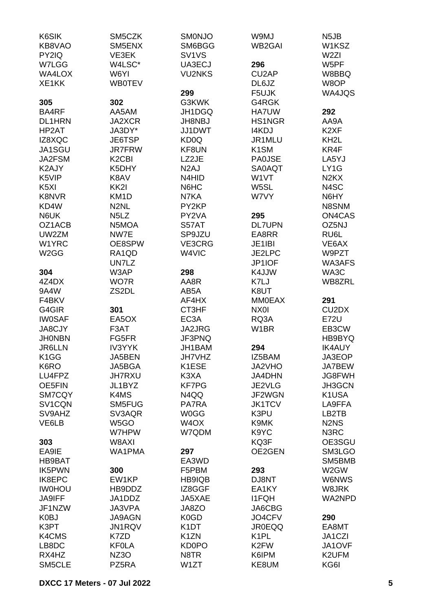| K6SIK<br>KB8VAO   | SM5CZK<br>SM5ENX               | SMONJO<br>SM6BGG               | W9MJ<br><b>WB2GAI</b> | N <sub>5</sub> JB<br>W1KSZ     |
|-------------------|--------------------------------|--------------------------------|-----------------------|--------------------------------|
| PY2IQ             | VE3EK                          | SV <sub>1</sub> V <sub>S</sub> |                       | W <sub>2ZI</sub>               |
| W7LGG             | W4LSC*                         | UA3ECJ                         | 296                   | W5PF                           |
| WA4LOX            | W6YI                           | <b>VU2NKS</b>                  | CU <sub>2</sub> AP    | W8BBQ                          |
| XE1KK             | <b>WB0TEV</b>                  |                                | DL6JZ                 | W8OP                           |
|                   |                                | 299                            | F5UJK                 | WA4JQS                         |
| 305               | 302                            | G3KWK                          | G4RGK                 |                                |
| BA4RF             | AA5AM                          | JH1DGQ                         | <b>HA7UW</b>          | 292                            |
| <b>DL1HRN</b>     | <b>JA2XCR</b>                  | <b>JH8NBJ</b>                  | <b>HS1NGR</b>         | AA9A                           |
| HP2AT             | JA3DY*                         | JJ1DWT                         | <b>I4KDJ</b>          | K <sub>2</sub> XF              |
| IZ8XQC            | JE6TSP                         | KD <sub>0</sub> Q              | JR1MLU                | KH <sub>2</sub> L              |
| JA1SGU            | <b>JR7FRW</b>                  | KF8UN                          | K <sub>1</sub> SM     | KR4F                           |
| JA2FSM            | K <sub>2</sub> C <sub>BI</sub> | LZ2JE                          | <b>PA0JSE</b>         | LA5YJ                          |
| K2AJY             | K5DHY                          | N <sub>2</sub> AJ              | <b>SA0AQT</b>         | LY1G                           |
| K5VIP             | K8AV                           | N4HID                          | W1VT                  | N <sub>2</sub> K <sub>X</sub>  |
| K <sub>5</sub> XI | KK <sub>2</sub>                | N6HC                           | W5SL                  | N4SC                           |
| <b>K8NVR</b>      | KM <sub>1</sub> D              | N7KA                           | W7VY                  | N6HY                           |
| KD4W              | N <sub>2</sub> NL              | PY2KP                          |                       | N8SNM                          |
| N6UK              | N <sub>5</sub> L <sub>Z</sub>  | PY2VA                          | 295                   | <b>ON4CAS</b>                  |
| OZ1ACB            | N5MOA                          | S57AT                          | <b>DL7UPN</b>         | OZ5NJ                          |
| UW2ZM             | NW7E                           | SP9JZU                         | EA8RR                 | RU6L                           |
| W1YRC             | OE8SPW                         | VE3CRG                         | JE1IBI                | VE6AX                          |
| W <sub>2</sub> GG | RA1QD                          | W4VIC                          | JE2LPC                | W9PZT                          |
|                   | UN7LZ                          |                                | JP1IOF                | WA3AFS                         |
| 304               | W3AP                           | 298                            | K4JJW                 | WA3C                           |
| 4Z4DX             | WO7R                           | AA8R                           | K7LJ                  | WB8ZRL                         |
| 9A4W              | ZS2DL                          | AB5A                           | K8UT                  |                                |
| F4BKV             |                                | AF4HX                          | <b>MM0EAX</b>         | 291                            |
| G4GIR             | 301                            | CT3HF                          | NX0I                  | CU <sub>2</sub> D <sub>X</sub> |
| <b>IW0SAF</b>     | EA5OX                          | EC <sub>3</sub> A              | RQ3A                  | <b>E72U</b>                    |
| JA8CJY            | F3AT                           | JA2JRG                         | W <sub>1</sub> BR     | EB3CW                          |
| <b>JHONBN</b>     | FG5FR                          | JF3PNQ                         |                       | HB9BYQ                         |
| <b>JR6LLN</b>     | <b>IV3YYK</b>                  | JH1BAM                         | 294                   | <b>IK4AUY</b>                  |
| K <sub>1</sub> GG | JA5BEN                         | <b>JH7VHZ</b>                  | IZ5BAM                | JA3EOP                         |
| K6RO              | JA5BGA                         | K1ESE                          | JA2VHO                | JA7BEW                         |
| LU4FPZ            | <b>JH7RXU</b>                  | K3XA                           | JA4DHN                | JG8FWH                         |
| OE5FIN            | JL1BYZ                         | <b>KF7PG</b>                   | JE2VLG                | JH3GCN                         |
|                   |                                |                                | JF2WGN                |                                |
| SM7CQY            | K4MS                           | N4QQ                           |                       | K1USA                          |
| SV1CQN            | SM5FUG                         | PA7RA                          | <b>JK1TCV</b>         | LA9FFA                         |
| SV9AHZ            | SV3AQR                         | <b>W0GG</b>                    | K3PU                  | LB2TB                          |
| VE6LB             | W5GO                           | W <sub>4</sub> OX              | K9MK                  | N <sub>2</sub> N <sub>S</sub>  |
|                   | W7HPW                          | W7QDM                          | K9YC                  | N <sub>3</sub> RC              |
| 303               | W8AXI                          |                                | KQ3F                  | OE3SGU                         |
| EA9IE             | WA1PMA                         | 297                            | OE2GEN                | SM3LGO                         |
| <b>HB9BAT</b>     |                                | EA3WD                          |                       | SM5BMB                         |
| <b>IK5PWN</b>     | 300                            | F5PBM                          | 293                   | W2GW                           |
| IK8EPC            | EW1KP                          | HB9IQB                         | DJ8NT                 | <b>W6NWS</b>                   |
| <b>IWOHOU</b>     | HB9DDZ                         | IZ8GGF                         | EA1KY                 | W8JRK                          |
| <b>JA9IFF</b>     | JA1DDZ                         | JA5XAE                         | <b>I1FQH</b>          | WA2NPD                         |
| JF1NZW            | <b>JA3VPA</b>                  | JA8ZO                          | JA6CBG                |                                |
| K0BJ              | <b>JA9AGN</b>                  | K <sub>0</sub> GD              | JO4CFV                | 290                            |
| K3PT              | <b>JN1RQV</b>                  | K <sub>1</sub> DT              | <b>JR0EQQ</b>         | EA8MT                          |
| K4CMS             | K7ZD                           | K <sub>1</sub> ZN              | K <sub>1</sub> PL     | JA1CZI                         |
| LB8DC             | <b>KF0LA</b>                   | <b>KD0PO</b>                   | K <sub>2</sub> FW     | JA1OVF                         |
| RX4HZ             | NZ3O                           | N8TR                           | K6IPM                 | K2UFM                          |
| SM5CLE            | PZ5RA                          | W1ZT                           | KE8UM                 | KG6I                           |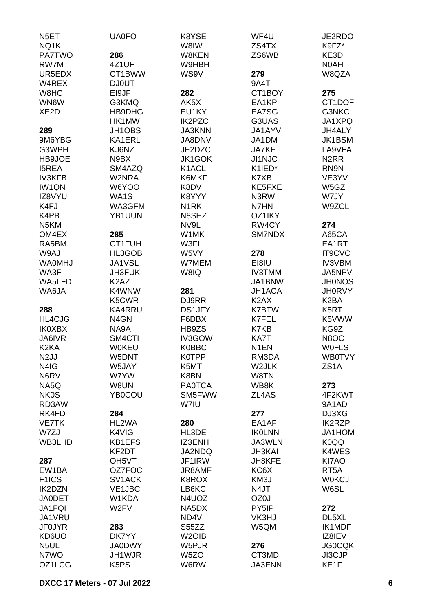| N <sub>5</sub> ET  | <b>UA0FO</b>                  | K8YSE              | WF4U              | JE2RDO                        |
|--------------------|-------------------------------|--------------------|-------------------|-------------------------------|
| NQ1K               |                               | W8IW               | ZS4TX             | K9FZ*                         |
| <b>PA7TWO</b>      | 286                           | W8KEN              | ZS6WB             | KE3D                          |
| RW7M               | 4Z1UF                         | W9HBH              |                   | N0AH                          |
| UR5EDX             | CT1BWW                        | WS9V               | 279               | W8QZA                         |
| W4REX              | <b>DJ0UT</b>                  |                    | 9A4T              |                               |
| W8HC               | EI9JF                         | 282                | CT1BOY            | 275                           |
| WN6W               | G3KMQ                         | AK5X               | EA1KP             | CT1DOF                        |
| XE <sub>2</sub> D  | HB9DHG                        | EU1KY              | EA7SG             | G3NKC                         |
|                    | HK1MW                         | IK2PZC             | G3UAS             | JA1XPQ                        |
| 289                | JH1OBS                        | <b>JA3KNN</b>      | JA1AYV            | JH4ALY                        |
| 9M6YBG             | KA1ERL                        | JA8DNV             | JA1DM             | <b>JK1BSM</b>                 |
| G3WPH              | KJ6NZ                         | JE2DZC             | <b>JA7KE</b>      | LA9VFA                        |
| HB9JOE             | N9BX                          | JK1GOK             | <b>JI1NJC</b>     | N <sub>2</sub> R <sub>R</sub> |
|                    |                               |                    |                   |                               |
| <b>I5REA</b>       | SM4AZQ                        | K1ACL              | K1IED*            | RN9N                          |
| <b>IV3KFB</b>      | W2NRA                         | K6MKF              | K7XB              | VE3YV                         |
| <b>IW1QN</b>       | W6YOO                         | K8DV               | KE5FXE            | W5GZ                          |
| IZ8VYU             | WA1S                          | K8YYY              | N3RW              | W7JY                          |
| K4FJ               | WA3GFM                        | N <sub>1</sub> RK  | N7HN              | W9ZCL                         |
| K4PB               | YB1UUN                        | N8SHZ              | OZ1IKY            |                               |
| N <sub>5</sub> KM  |                               | NV9L               | RW4CY             | 274                           |
| OM4EX              | 285                           | W1MK               | SM7NDX            | A65CA                         |
| RA5BM              | CT1FUH                        | W3FI               |                   | EA1RT                         |
| W9AJ               | HL3GOB                        | W5VY               | 278               | <b>IT9CVO</b>                 |
| <b>WAOMHJ</b>      | JA1VSL                        | W7MEM              | EI8IU             | <b>IV3VBM</b>                 |
| WA3F               | <b>JH3FUK</b>                 | W8IQ               | <b>IV3TMM</b>     | JA5NPV                        |
| WA5LFD             | K <sub>2</sub> A <sub>Z</sub> |                    | JA1BNW            | <b>JH0NOS</b>                 |
| WA6JA              | K4WNW                         | 281                | JH1ACA            | <b>JH0RVY</b>                 |
|                    | K5CWR                         | DJ9RR              | K <sub>2</sub> AX | K <sub>2</sub> BA             |
| 288                | KA4RRU                        | <b>DS1JFY</b>      | <b>K7BTW</b>      | K5RT                          |
| HL4CJG             | N4GN                          | F6DBX              | K7FEL             | K5VWW                         |
| <b>IK0XBX</b>      | NA9A                          | HB9ZS              | K7KB              | KG9Z                          |
|                    |                               |                    |                   |                               |
| JA6IVR             | SM4CTI                        | IV3GOW             | KA7T              | N8OC                          |
| K <sub>2</sub> KA  | <b>WOKEU</b>                  | K0BBC              | N <sub>1</sub> EN | <b>WOFLS</b>                  |
| N <sub>2</sub> JJ  | W5DNT                         | <b>K0TPP</b>       | RM3DA             | <b>WB0TVY</b>                 |
| N4IG               | W5JAY                         | K5MT               | W2JLK             | ZS <sub>1</sub> A             |
| N6RV               | W7YW                          | K8BN               | W8TN              |                               |
| NA5Q               | W8UN                          | <b>PA0TCA</b>      | WB8K              | 273                           |
| <b>NK0S</b>        | YB0COU                        | SM5FWW             | ZL4AS             | 4F2KWT                        |
| RD3AW              |                               | W7IU               |                   | 9A1AD                         |
| RK4FD              | 284                           |                    | 277               | DJ3XG                         |
| <b>VE7TK</b>       | HL2WA                         | 280                | EA1AF             | <b>IK2RZP</b>                 |
| W7ZJ               | K4VIG                         | HL3DE              | <b>IKOLNN</b>     | JA1HOM                        |
| WB3LHD             | KB1EFS                        | IZ3ENH             | JA3WLN            | K0QQ                          |
|                    | KF2DT                         | JA2NDQ             | <b>JH3KAI</b>     | K4WES                         |
| 287                | OH <sub>5</sub> VT            | JF1IRW             | JH8KFE            | KI7AO                         |
| EW1BA              | OZ7FOC                        | <b>JR8AMF</b>      | KC6X              | RT <sub>5</sub> A             |
| F <sub>1</sub> ICS | SV1ACK                        | K8ROX              | KM3J              | <b>W0KCJ</b>                  |
| <b>IK2DZN</b>      | <b>VE1JBC</b>                 | LB6KC              | N4JT              | W6SL                          |
| <b>JA0DET</b>      | W1KDA                         | N4UOZ              | OZ0J              |                               |
| JA1FQI             | W <sub>2</sub> FV             | NA5DX              | PY5IP             | 272                           |
| JA1VRU             |                               | ND4V               | VK3HJ             | DL5XL                         |
| <b>JF0JYR</b>      | 283                           | S55ZZ              | W5QM              | IK1MDF                        |
|                    |                               |                    |                   |                               |
| KD6UO              | DK7YY                         | W <sub>2</sub> OIB |                   | IZ8IEV                        |
| N <sub>5</sub> UL  | <b>JA0DWY</b>                 | W5PJR              | 276               | <b>JG0CQK</b>                 |
| N7WO               | JH1WJR                        | W5ZO               | CT3MD             | JI3CJP                        |
| OZ1LCG             | K <sub>5</sub> P <sub>S</sub> | W6RW               | <b>JA3ENN</b>     | KE1F                          |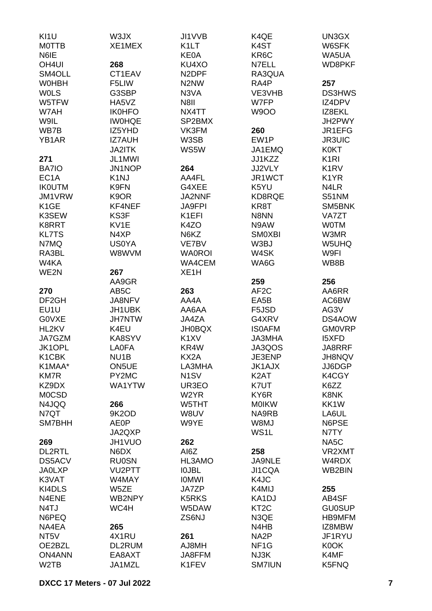| KI1U                               | W3JX               | JI1VVB                        | K4QE                  | UN3GX                         |
|------------------------------------|--------------------|-------------------------------|-----------------------|-------------------------------|
| <b>MOTTB</b>                       | XE1MEX             | K <sub>1</sub> LT             | K4ST                  | W6SFK                         |
| N6IE                               |                    | <b>KE0A</b>                   | KR <sub>6</sub> C     | WA5UA                         |
| OH <sub>4UI</sub>                  | 268                | KU4XO                         | N7ELL                 | WD8PKF                        |
| SM4OLL                             | CT1EAV             | N <sub>2</sub> DPF            | RA3QUA                |                               |
| <b>WOHBH</b>                       | F5LIW              | N <sub>2</sub> N <sub>W</sub> | RA4P                  | 257                           |
|                                    |                    |                               |                       |                               |
| <b>WOLS</b>                        | G3SBP              | N3VA                          | VE3VHB                | <b>DS3HWS</b>                 |
| W5TFW                              | HA5VZ              | N8II                          | W7FP                  | IZ4DPV                        |
| W7AH                               | <b>IK0HFO</b>      | NX4TT                         | <b>W9OO</b>           | IZ8EKL                        |
| W9IL                               | <b>IWOHQE</b>      | SP2BMX                        |                       | JH2PWY                        |
| WB7B                               | IZ5YHD             | VK3FM                         | 260                   | JR1EFG                        |
| YB <sub>1</sub> AR                 | <b>IZ7AUH</b>      | W3SB                          | EW1P                  | <b>JR3UIC</b>                 |
|                                    | <b>JA2ITK</b>      | WS5W                          | JA1EMQ                | <b>K0KT</b>                   |
| 271                                | JL1MWI             |                               | JJ1KZZ                | K <sub>1</sub> RI             |
| BA7IO                              | JN1NOP             | 264                           | JJ2VLY                | K <sub>1</sub> R <sub>V</sub> |
| EC <sub>1</sub> A                  | K <sub>1</sub> NJ  | AA4FL                         | JR1WCT                | K <sub>1</sub> YR             |
| <b>IKOUTM</b>                      | K9FN               | G4XEE                         | K5YU                  | N <sub>4</sub> LR             |
|                                    |                    |                               |                       |                               |
| JM1VRW                             | K9OR               | JA2NNF                        | KD8RQE                | S51NM                         |
| K <sub>1</sub> GE                  | KF4NEF             | <b>JA9FPI</b>                 | KR8T                  | SM5BNK                        |
| K3SEW                              | KS3F               | K <sub>1</sub> EFI            | N8NN                  | <b>VA7ZT</b>                  |
| K8RRT                              | KV1E               | K4ZO                          | N9AW                  | <b>WOTM</b>                   |
| <b>KL7TS</b>                       | N4XP               | N6KZ                          | <b>SMOXBI</b>         | W3MR                          |
| N7MQ                               | <b>US0YA</b>       | VE7BV                         | W3BJ                  | W5UHQ                         |
| RA3BL                              | W8WVM              | <b>WA0ROI</b>                 | W4SK                  | W9FI                          |
| W4KA                               |                    | WA4CEM                        | WA6G                  | WB8B                          |
| WE2N                               | 267                | XE <sub>1</sub> H             |                       |                               |
|                                    | AA9GR              |                               | 259                   | 256                           |
| 270                                | AB <sub>5</sub> C  | 263                           | AF <sub>2</sub> C     | AA6RR                         |
| DF <sub>2GH</sub>                  |                    |                               |                       |                               |
|                                    | JA8NFV             | AA4A                          | EA5B                  | AC6BW                         |
| EU1U                               | JH1UBK             | AA6AA                         | F5JSD                 | AG3V                          |
| <b>GOVXE</b>                       | <b>JH7NTW</b>      | JA4ZA                         | G4XRV                 | DS4AOW                        |
| HL2KV                              | K4EU               | <b>JH0BQX</b>                 | <b>ISOAFM</b>         | <b>GM0VRP</b>                 |
| JA7GZM                             | KA8SYV             | K <sub>1</sub> XV             | <b>JA3MHA</b>         | <b>I5XFD</b>                  |
| JK1OPL                             | <b>LA0FA</b>       | KR4W                          | JA3QOS                | JA8RRF                        |
| K1CBK                              | NU <sub>1</sub> B  | KX2A                          | JE3ENP                | <b>JH8NQV</b>                 |
| K1MAA*                             | ON <sub>5</sub> UE | LA3MHA                        | <b>JK1AJX</b>         | JJ6DGP                        |
| <b>KM7R</b>                        | PY2MC              | N <sub>1</sub> SV             | K <sub>2</sub> AT     | K4CGY                         |
| KZ9DX                              | WA1YTW             | UR3EO                         | K7UT                  | K6ZZ                          |
| <b>MOCSD</b>                       |                    | W <sub>2</sub> YR             | KY6R                  | K8NK                          |
| N4JQQ                              | 266                | W5THT                         | <b>MOIKW</b>          | KK1W                          |
| N7QT                               | 9K2OD              | W8UV                          | NA9RB                 | LA6UL                         |
| SM7BHH                             | <b>AE0P</b>        | W9YE                          | W8MJ                  | N6PSE                         |
|                                    |                    |                               |                       |                               |
|                                    | JA2QXP             |                               | WS1L                  | N7TY                          |
| 269                                | JH1VUO             | 262                           |                       | NA <sub>5</sub> C             |
| <b>DL2RTL</b>                      | N6DX               | AI6Z                          | 258                   | VR2XMT                        |
| <b>DS5ACV</b>                      | <b>RU0SN</b>       | HL3AMO                        | JA9NLE                | W4RDX                         |
| <b>JA0LXP</b>                      | VU2PTT             | <b>IOJBL</b>                  | JI1CQA                | WB2BIN                        |
| K3VAT                              | W4MAY              | <b>IOMWI</b>                  | K4JC                  |                               |
| KI4DLS                             | W5ZE               | JA7ZP                         | K4MIJ                 | 255                           |
| N4ENE                              | WB2NPY             | <b>K5RKS</b>                  | KA1DJ                 | AB4SF                         |
| N <sub>4</sub> TJ                  | WC4H               | W5DAW                         | KT <sub>2</sub> C     | <b>GU0SUP</b>                 |
| N6PEQ                              |                    | ZS6NJ                         | N3QE                  | <b>HB9MFM</b>                 |
| NA4EA                              |                    |                               | N4HB                  | IZ8MBW                        |
|                                    |                    |                               |                       |                               |
| NT <sub>5</sub> V                  | 265                |                               |                       |                               |
|                                    | 4X1RU              | 261                           | NA <sub>2</sub> P     | JF1RYU                        |
| OE2BZL                             | DL2RUM             | AJ8MH                         | NF <sub>1</sub> G     | K0OK                          |
| <b>ON4ANN</b><br>W <sub>2</sub> TB | EA8AXT<br>JA1MZL   | JA8FFM<br>K1FEV               | NJ3K<br><b>SM7IUN</b> | K4MF<br>K5FNQ                 |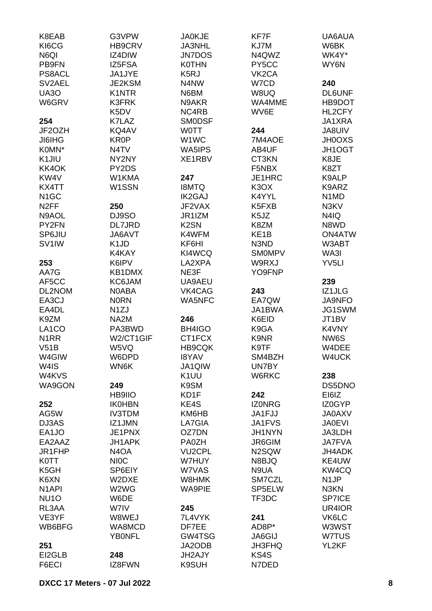| K8EAB               | G3VPW                         | <b>JA0KJE</b>     | KF7F               | UA6AUA                        |
|---------------------|-------------------------------|-------------------|--------------------|-------------------------------|
| KI6CG               | HB9CRV                        | <b>JA3NHL</b>     | KJ7M               | W6BK                          |
| N6QI                | IZ4DIW                        | <b>JN7DOS</b>     | N4QWZ              | WK4Y*                         |
| PB9FN               | IZ5FSA                        | <b>K0THN</b>      | PY5CC              | WY6N                          |
| PS8ACL              | <b>JA1JYE</b>                 | K <sub>5</sub> RJ | VK <sub>2</sub> CA |                               |
| SV <sub>2</sub> AEL | <b>JE2KSM</b>                 | N4NW              | W7CD               | 240                           |
| <b>UA30</b>         | <b>K1NTR</b>                  | N6BM              | W8UQ               | <b>DL6UNF</b>                 |
| W6GRV               | <b>K3FRK</b>                  | N9AKR             | WA4MME             | HB9DOT                        |
|                     | K5DV                          | NC4RB             | WV6E               | HL2CFY                        |
| 254                 | K7LAZ                         | <b>SMODSF</b>     |                    | JA1XRA                        |
| JF2OZH              | KQ4AV                         | <b>WOTT</b>       | 244                | <b>JA8UIV</b>                 |
| <b>JI6IHG</b>       | KR0P                          | W1WC              | 7M4AOE             | <b>JH0OXS</b>                 |
| K0MN*               | N4TV                          | WA5IPS            | AB4UF              | JH1OGT                        |
| K1JIU               | NY2NY                         | XE1RBV            | CT3KN              | K8JE                          |
| KK4OK               | PY2DS                         |                   | F5NBX              | K8ZT                          |
| KW <sub>4</sub> V   | W1KMA                         | 247               | JE1HRC             | K9ALP                         |
| KX4TT               | W1SSN                         | <b>I8MTQ</b>      | K3OX               | K9ARZ                         |
| N <sub>1</sub> GC   |                               | <b>IK2GAJ</b>     | K4YYL              | N <sub>1</sub> M <sub>D</sub> |
| N <sub>2</sub> FF   | 250                           | JF2VAX            | K5FXB              | N3KV                          |
| N9AOL               | DJ9SO                         | JR1IZM            | K5JZ               | N4IQ                          |
| PY2FN               | DL7JRD                        | K <sub>2</sub> SN | K8ZM               | N8WD                          |
| SP6JIU              | JA6AVT                        | K4WFM             | KE <sub>1</sub> B  | <b>ON4ATW</b>                 |
| SV <sub>1</sub> IW  | K <sub>1</sub> JD             | KF6HI             | N3ND               | W3ABT                         |
|                     | K4KAY                         | KI4WCQ            | <b>SMOMPV</b>      | WA3I                          |
| 253                 | K6IPV                         | LA2XPA            | W9RXJ              | YV <sub>5LI</sub>             |
| AA7G                | KB1DMX                        | NE3F              | YO9FNP             |                               |
| AF5CC               | KC6JAM                        | UA9AEU            |                    | 239                           |
| DL2NOM              | N0ABA                         | VK4CAG            | 243                | IZ1JLG                        |
| EA3CJ               | <b>NORN</b>                   | WA5NFC            | EA7QW              | <b>JA9NFO</b>                 |
| EA4DL               | N <sub>1</sub> ZJ             |                   | JA1BWA             | JG1SWM                        |
| K9ZM                | NA2M                          | 246               | K6EID              | JT1BV                         |
| LA1CO               | PA3BWD                        | BH4IGO            | K9GA               | K4VNY                         |
| N <sub>1</sub> RR   | W2/CT1GIF                     | CT1FCX            | K9NR               | NW6S                          |
| V51B                | W5VQ                          | <b>HB9CQK</b>     | K9TF               | W4DEE                         |
| W4GIW               | W6DPD                         | <b>I8YAV</b>      | SM4BZH             | W4UCK                         |
| W4IS                | WN6K                          | JA1QIW            | UN7BY              |                               |
| W4KVS               |                               | K <sub>1</sub> UU | W6RKC              | 238                           |
| WA9GON              | 249                           | K9SM              |                    | DS5DNO                        |
|                     | HB9IIO                        | KD1F              | 242                | EI6IZ                         |
| 252                 | <b>IK0HBN</b>                 | KE4S              | <b>IZONRG</b>      | IZ0GYP                        |
| AG5W                | <b>IV3TDM</b>                 | KM6HB             | JA1FJJ             | <b>JA0AXV</b>                 |
| DJ3AS               | IZ1JMN                        | LA7GIA            | JA1FVS             | <b>JA0EVI</b>                 |
| EA1JO               | JE1PNX                        | OZ7DN             | <b>JH1NYN</b>      | JA3LDH                        |
| EA2AAZ              | JH1APK                        | <b>PA0ZH</b>      | JR6GIM             | <b>JA7FVA</b>                 |
| JR1FHP              | N <sub>4</sub> O <sub>A</sub> | <b>VU2CPL</b>     | N2SQW              | <b>JH4ADK</b>                 |
| <b>K0TT</b>         | <b>NIOC</b>                   | W7HUY             | N8BJQ              | KE4UW                         |
| K <sub>5</sub> GH   | SP6EIY                        | W7VAS             | N9UA               | KW4CQ                         |
| K6XN                | W2DXE                         | W8HMK             | SM7CZL             | N <sub>1</sub> JP             |
| N <sub>1</sub> API  | W2WG                          | <b>WA9PIE</b>     | SP5ELW             | N3KN                          |
| NU <sub>10</sub>    | W6DE                          |                   | TF3DC              | <b>SP7ICE</b>                 |
| RL3AA               | W7IV                          | 245               |                    | UR4IOR                        |
| VE3YF               | W8WEJ                         | 7L4VYK            | 241                | VK6LC                         |
| WB6BFG              | WA8MCD                        | DF7EE             | AD8P*              | W3WST                         |
|                     | <b>YBONFL</b>                 | GW4TSG            | <b>JA6GIJ</b>      | W7TUS                         |
| 251                 |                               | JA2ODB            | <b>JH3FHQ</b>      | YL2KF                         |
| EI2GLB              | 248                           | JH2AJY            | KS4S               |                               |
| F6ECI               | IZ8FWN                        | K9SUH             | N7DED              |                               |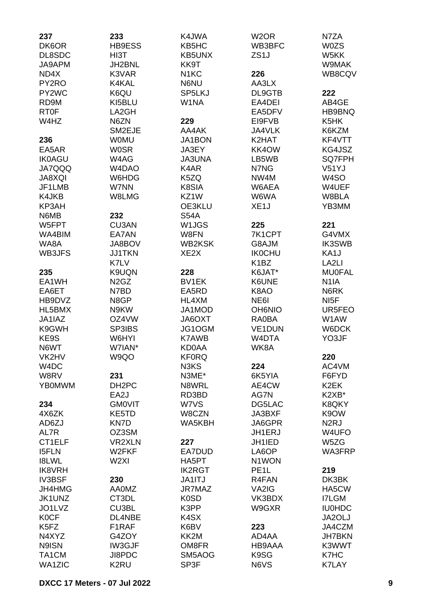| 237                           | 233                           | K4JWA              | W <sub>2</sub> OR | N7ZA              |
|-------------------------------|-------------------------------|--------------------|-------------------|-------------------|
| DK6OR                         | HB9ESS                        | KB5HC              | WB3BFC            | <b>W0ZS</b>       |
| DL8SDC                        | HI3T                          | <b>KB5UNX</b>      | ZS <sub>1</sub> J | W5KK              |
| JA9APM                        | JH2BNL                        | KK9T               |                   | W9MAK             |
| ND4X                          | K3VAR                         | N <sub>1</sub> KC  | 226               | WB8CQV            |
| PY2RO                         | K4KAL                         | N6NU               | AA3LX             |                   |
| PY2WC                         | K6QU                          | SP5LKJ             | DL9GTB            | 222               |
| RD9M                          | KI5BLU                        | W1NA               | EA4DEI            | AB4GE             |
| <b>RT0F</b>                   | LA2GH                         |                    | EA5DFV            | HB9BNQ            |
| W4HZ                          | N6ZN                          | 229                | EI9FVB            | K <sub>5</sub> HK |
|                               | SM2EJE                        | AA4AK              | JA4VLK            | K6KZM             |
| 236                           | <b>WOMU</b>                   | JA1BON             | K2HAT             | KF4VTT            |
| EA5AR                         | <b>WOSR</b>                   | JA3EY              | KK4OW             | KG4JSZ            |
| <b>IK0AGU</b>                 | W4AG                          | <b>JA3UNA</b>      | LB5WB             | SQ7FPH            |
| <b>JA7QQQ</b>                 | W4DAO                         | K4AR               | N7NG              | V51YJ             |
| <b>JA8XQI</b>                 | W6HDG                         | K5ZQ               | NW4M              | W <sub>4</sub> SO |
| JF1LMB                        | W7NN                          | K8SIA              | W6AEA             | W4UEF             |
| K4JKB                         | W8LMG                         | KZ1W               | W6WA              | W8BLA             |
| KP3AH                         |                               | OE3KLU             | XE <sub>1</sub> J | YB3MM             |
| N6MB                          | 232                           | <b>S54A</b>        |                   |                   |
| W5FPT                         | CU3AN                         | W <sub>1</sub> JGS | 225               | 221               |
| WA4BIM                        | EA7AN                         | W8FN               | 7K1CPT            | G4VMX             |
| WA8A                          | JA8BOV                        | <b>WB2KSK</b>      | G8AJM             | <b>IK3SWB</b>     |
| WB3JFS                        | <b>JJ1TKN</b>                 | XE <sub>2</sub> X  | <b>IK0CHU</b>     | KA1J              |
|                               | K7LV                          |                    | K <sub>1</sub> BZ | LA <sub>2LI</sub> |
|                               | K9UQN                         | 228                |                   |                   |
| 235                           |                               |                    | K6JAT*            | <b>MU0FAL</b>     |
| EA1WH                         | N <sub>2</sub> G <sub>Z</sub> | BV1EK              | K6UNE             | N <sub>1</sub> IA |
| EA6ET                         | N7BD                          | EA5RD              | K8AO              | N6RK              |
| HB9DVZ                        | N8GP                          | HL4XM              | NE6I              | NI <sub>5</sub> F |
| HL5BMX                        | N9KW                          | JA1MOD             | <b>OH6NIO</b>     | UR5FEO            |
| JA1IAZ                        | OZ4VW                         | JA6OXT             | <b>RA0BA</b>      | W1AW              |
| K9GWH                         | SP3IBS                        | JG1OGM             | <b>VE1DUN</b>     | W6DCK             |
| KE9S                          | W6HYI                         | <b>K7AWB</b>       | W4DTA             | YO3JF             |
| N6WT                          | W7IAN*                        | <b>KD0AA</b>       | WK8A              |                   |
| VK2HV                         | W9QO                          | <b>KF0RQ</b>       |                   | 220               |
| W <sub>4</sub> DC             |                               | N3KS               | 224               | AC4VM             |
| W8RV                          | 231                           | N3ME*              | 6K5YIA            | F6FYD             |
| <b>YBOMWM</b>                 | DH <sub>2</sub> PC            | N8WRL              | AE4CW             | K <sub>2</sub> EK |
|                               | EA2J                          | RD3BD              | AG7N              | K2XB*             |
| 234                           | <b>GMOVIT</b>                 | W7VS               | DG5LAC            | K8QKY             |
| 4X6ZK                         | KE5TD                         | W8CZN              | JA3BXF            | K9OW              |
| AD6ZJ                         | KN7D                          | WA5KBH             | JA6GPR            | N <sub>2</sub> RJ |
| AL7R                          | OZ3SM                         |                    | JH1ERJ            | W4UFO             |
| CT1ELF                        | <b>VR2XLN</b>                 | 227                | JH1IED            | W5ZG              |
| <b>I5FLN</b>                  | W2FKF                         | EA7DUD             | LA6OP             | WA3FRP            |
| <b>I8LWL</b>                  | W <sub>2XI</sub>              | HA5PT              | N1WON             |                   |
| <b>IK8VRH</b>                 |                               | <b>IK2RGT</b>      | PE <sub>1</sub> L | 219               |
| <b>IV3BSF</b>                 | 230                           | JA1ITJ             | R4FAN             | DK3BK             |
| JH4HMG                        | <b>AA0MZ</b>                  | JR7MAZ             | VA2IG             | HA5CW             |
| JK1UNZ                        | CT3DL                         | <b>K0SD</b>        | VK3BDX            | I7LGM             |
| JO1LVZ                        | CU3BL                         | K3PP               | W9GXR             | <b>IU0HDC</b>     |
| <b>K0CF</b>                   | DL4NBE                        | K4SX               |                   | JA2OLJ            |
| K <sub>5</sub> F <sub>Z</sub> | F1RAF                         | K6BV               | 223               | JA4CZM            |
| N4XYZ                         | G4ZOY                         | KK2M               | AD4AA             | <b>JH7BKN</b>     |
| N9ISN                         | IW3GJF                        | OM8FR              | HB9AAA            | K3WWT             |
| TA1CM                         | JI8PDC                        | SM5AOG             | K9SG              | K7HC              |
| <b>WA1ZIC</b>                 | K <sub>2</sub> RU             | SP3F               | N6VS              | <b>K7LAY</b>      |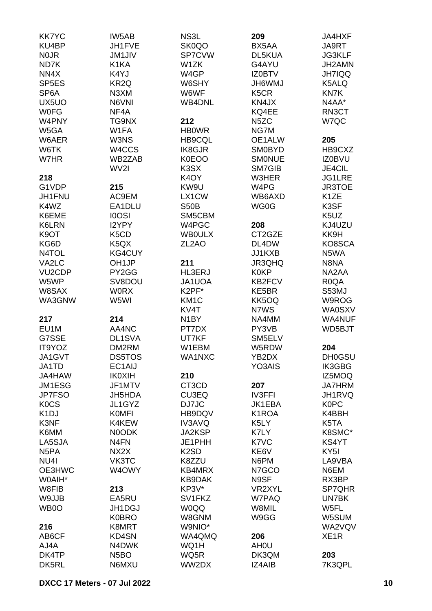| <b>KK7YC</b>        | IW5AB                         | NS3L               | 209               | <b>JA4HXF</b>     |
|---------------------|-------------------------------|--------------------|-------------------|-------------------|
| KU4BP               | JH1FVE                        | SK0QO              | BX5AA             | JA9RT             |
| N <sub>0</sub> JR   | <b>JM1JIV</b>                 | SP7CVW             | DL5KUA            | <b>JG3KLF</b>     |
| ND7K                | K <sub>1</sub> KA             | W1ZK               | G4AYU             | JH2AMN            |
| NN4X                | K4YJ                          | W4GP               | <b>IZ0BTV</b>     | <b>JH7IQQ</b>     |
| SP <sub>5</sub> ES  | KR <sub>2Q</sub>              | W6SHY              | <b>UMW9HL</b>     | K5ALQ             |
| SP <sub>6</sub> A   | N3XM                          | W6WF               | K <sub>5</sub> CR | KN7K              |
| UX5UO               | N6VNI                         | <b>WB4DNL</b>      | KN4JX             | N4AA*             |
| <b>WOFG</b>         | NF4A                          |                    | KQ4EE             | RN3CT             |
| W4PNY               | TG9NX                         | 212                | N <sub>5</sub> ZC | W7QC              |
|                     |                               |                    |                   |                   |
| W5GA                | W1FA                          | <b>HBOWR</b>       | NG7M              |                   |
| W6AER               | W3NS                          | <b>HB9CQL</b>      | OE1ALW            | 205               |
| W6TK                | W4CCS                         | IK8GJR             | <b>SM0BYD</b>     | HB9CXZ            |
| W7HR                | WB2ZAB                        | <b>K0EOO</b>       | <b>SMONUE</b>     | <b>IZ0BVU</b>     |
|                     | WV2I                          | K3SX               | SM7GIB            | JE4CIL            |
| 218                 |                               | K <sub>4</sub> OY  | W3HER             | JG1LRE            |
| G1VDP               | 215                           | KW9U               | W4PG              | <b>JR3TOE</b>     |
| JH1FNU              | AC9EM                         | LX1CW              | WB6AXD            | K <sub>1</sub> ZE |
| K4WZ                | EA1DLU                        | <b>S50B</b>        | WG0G              | K3SF              |
| K6EME               | <b>IOOSI</b>                  | SM5CBM             |                   | K5UZ              |
| K6LRN               | I2YPY                         | W4PGC              | 208               | KJ4UZU            |
| K <sub>9</sub> OT   | K <sub>5</sub> C <sub>D</sub> | <b>WBOULX</b>      | CT2GZE            | KK9H              |
| KG6D                | K <sub>5</sub> Q <sub>X</sub> | ZL <sub>2</sub> AO | DL4DW             | KO8SCA            |
| N4TOL               | KG4CUY                        |                    | JJ1KXB            | N5WA              |
| VA2LC               | OH <sub>1</sub> JP            | 211                | JR3QHQ            | N8NA              |
| VU <sub>2</sub> CDP | PY2GG                         | HL3ERJ             | <b>K0KP</b>       | NA2AA             |
|                     |                               |                    |                   |                   |
| W5WP                | SV8DOU                        | JA1UOA             | KB2FCV            | R <sub>0</sub> QA |
| W8SAX               | <b>WORX</b>                   | K2PF*              | KE5BR             | S53MJ             |
| WA3GNW              | W5WI                          | KM <sub>1</sub> C  | KK5OQ             | W9ROG             |
|                     |                               | KV4T               | N7WS              | <b>WA0SXV</b>     |
| 217                 | 214                           | N <sub>1</sub> BY  | NA4MM             | <b>WA4NUF</b>     |
| EU1M                | AA4NC                         | PT7DX              | PY3VB             | WD5BJT            |
| G7SSE               | DL1SVA                        | UT7KF              | SM5ELV            |                   |
| IT9YOZ              | DM2RM                         | W1EBM              | W5RDW             | 204               |
| JA1GVT              | <b>DS5TOS</b>                 | WA1NXC             | YB2DX             | <b>DH0GSU</b>     |
| JA1TD               | EC1AIJ                        |                    | YO3AIS            | <b>IK3GBG</b>     |
| JA4HAW              | <b>IK0XIH</b>                 | 210                |                   | IZ5MOQ            |
| JM1ESG              | JF1MTV                        | CT3CD              | 207               | <b>JA7HRM</b>     |
| <b>JP7FSO</b>       | JH5HDA                        | CU3EQ              | <b>IV3FFI</b>     | JH1RVQ            |
| <b>KOCS</b>         | JL1GYZ                        | DJ7JC              | JK1EBA            | <b>K0PC</b>       |
| K <sub>1</sub> DJ   | <b>KOMFI</b>                  | HB9DQV             | K1ROA             | K4BBH             |
| K3NF                | K4KEW                         | <b>IV3AVQ</b>      | K5LY              | K5TA              |
| K6MM                | N0ODK                         | JA2KSP             | K7LY              | K8SMC*            |
| LA5SJA              | N <sub>4</sub> FN             | JE1PHH             | K7VC              | KS4YT             |
| N <sub>5</sub> PA   | NX <sub>2</sub> X             | K <sub>2</sub> SD  | KE6V              | KY <sub>5I</sub>  |
| NU <sub>4</sub>     | VK3TC                         | K8ZZU              | N6PM              | LA9VBA            |
| OE3HWC              |                               | KB4MRX             |                   |                   |
|                     | W4OWY                         |                    | N7GCO             | N6EM              |
| W0AIH*              |                               | KB9DAK             | N9SF              | RX3BP             |
| W8FIB               | 213                           | KP3V*              | VR2XYL            | SP7QHR            |
| W9JJB               | EA5RU                         | SV1FKZ             | W7PAQ             | UN7BK             |
| WB0O                | JH1DGJ                        | <b>W0QQ</b>        | W8MIL             | W5FL              |
|                     | <b>K0BRO</b>                  | W8GNM              | W9GG              | W5SUM             |
| 216                 | K8MRT                         | W9NIO*             |                   | WA2VQV            |
| AB6CF               | KD4SN                         | WA4QMQ             | 206               | XE <sub>1</sub> R |
| AJ4A                | N4DWK                         | WQ1H               | AH <sub>0</sub> U |                   |
| DK4TP               | N <sub>5</sub> BO             | WQ5R               | DK3QM             | 203               |
| DK5RL               | N6MXU                         | WW2DX              | <b>IZ4AIB</b>     | 7K3QPL            |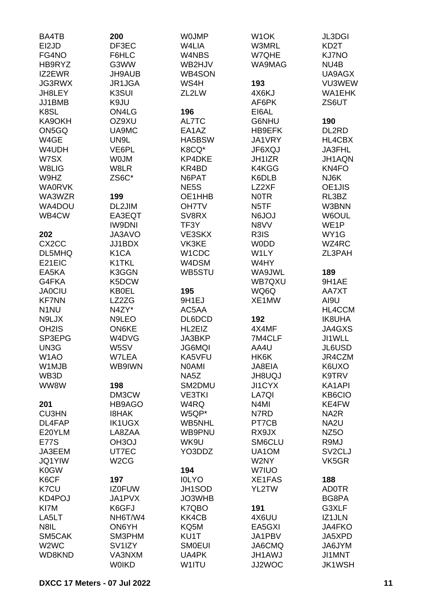| BA4TB                         | 200                 | <b>WOJMP</b>      | W <sub>1</sub> OK  | <b>JL3DGI</b>       |
|-------------------------------|---------------------|-------------------|--------------------|---------------------|
| EI2JD                         | DF3EC               | W4LIA             | W3MRL              | KD <sub>2</sub> T   |
| FG4NO                         | F6HLC               | W4NBS             | W7QHE              | <b>KJ7NO</b>        |
| HB9RYZ                        | G3WW                | WB2HJV            | WA9MAG             | NU4B                |
| IZ2EWR                        | JH9AUB              | WB4SON            |                    | UA9AGX              |
| JG3RWX                        | JR1JGA              | WS4H              | 193                | VU3WEW              |
|                               |                     |                   |                    |                     |
| JH8LEY                        | K3SUI               | ZL2LW             | 4X6KJ              | WA1EHK              |
| JJ1BMB                        | K9JU                |                   | AF6PK              | ZS6UT               |
| K8SL                          | ON4LG               | 196               | EI6AL              |                     |
| KA9OKH                        | OZ9XU               | AL7TC             | G6NHU              | 190                 |
| ON5GQ                         | UA9MC               | EA1AZ             | <b>HB9EFK</b>      | DL2RD               |
| W4GE                          | UN9L                | HA5BSW            | JA1VRY             | HL4CBX              |
| W4UDH                         | VE6PL               | K8CQ*             | JF6XQJ             | JA3FHL              |
| W7SX                          | <b>WOJM</b>         | KP4DKE            | JH1IZR             | JH1AQN              |
| W8LIG                         | W8LR                | KR4BD             | K4KGG              | KN4FO               |
| W9HZ                          | ZS6C*               | N6PAT             | K6DLB              | NJ6K                |
| <b>WA0RVK</b>                 |                     | NE <sub>5</sub> S | LZ2XF              | OE1JIS              |
| WA3WZR                        | 199                 | OE1HHB            | <b>NOTR</b>        | RL3BZ               |
| WA4DOU                        | DL2JIM              | <b>OH7TV</b>      | N <sub>5</sub> TF  | W3BNN               |
| WB4CW                         | EA3EQT              | SV8RX             | LOL <sub>6</sub> N | W6OUL               |
|                               | <b>IW9DNI</b>       | TF3Y              | N8VV               | WE <sub>1</sub> P   |
| 202                           | JA3AVO              | VE3SKX            | R3IS               | WY1G                |
|                               |                     |                   |                    |                     |
| CX <sub>2</sub> CC            | JJ1BDX              | VK3KE             | <b>WODD</b>        | WZ4RC               |
| DL5MHQ                        | K <sub>1</sub> CA   | W1CDC             | W1LY               | ZL3PAH              |
| E21EIC                        | K1TKL               | W4DSM             | W4HY               |                     |
| EA5KA                         | K3GGN               | WB5STU            | WA9JWL             | 189                 |
| G4FKA                         | K5DCW               |                   | WB7QXU             | 9H1AE               |
| <b>JA0CIU</b>                 | <b>KB0EL</b>        | 195               | WQ6Q               | AA7XT               |
| <b>KF7NN</b>                  | LZ2ZG               | 9H1EJ             | XE1MW              | AI9U                |
| N <sub>1</sub> NU             | N4ZY*               | AC5AA             |                    | HL4CCM              |
| N9LJX                         | N9LEO               | DL6DCD            | 192                | <b>IK8UHA</b>       |
| OH <sub>2</sub> IS            | ON6KE               | HL2EIZ            | 4X4MF              | JA4GXS              |
| SP3EPG                        | W4DVG               | JA3BKP            | 7M4CLF             | JI1WLL              |
| UN3G                          | W5SV                | <b>JG6MQI</b>     | AA4U               | JL6USD              |
| W <sub>1</sub> AO             | W7LEA               | KA5VFU            | HK6K               | JR4CZM              |
| W1MJB                         | WB9IWN              | <b>NOAMI</b>      | JA8EIA             | K6UXO               |
| WB3D                          |                     | NA5Z              | <b>JH8UQJ</b>      | K9TRV               |
| WW8W                          | 198                 | SM2DMU            | JI1CYX             | KA1API              |
|                               | DM3CW               | <b>VE3TKI</b>     | LA7QI              | KB6CIO              |
| 201                           | HB9AGO              | W4RQ              | N <sub>4</sub> MI  | KE4FW               |
| <b>CU3HN</b>                  | <b>I8HAK</b>        | W5QP*             | N7RD               | NA <sub>2</sub> R   |
| DL4FAP                        | <b>IK1UGX</b>       | WB5NHL            | PT7CB              | NA <sub>2U</sub>    |
|                               |                     |                   |                    |                     |
| E20YLM                        | LA8ZAA              | WB9PNU            | RX9JX              | NZ <sub>50</sub>    |
| <b>E77S</b>                   | OH <sub>3</sub> OJ  | WK9U              | SM6CLU             | R9MJ                |
| JA3EEM                        | UT7EC               | YO3DDZ            | UA1OM              | SV <sub>2</sub> CLJ |
| <b>JQ1YIW</b>                 | W <sub>2</sub> CG   |                   | W2NY               | VK5GR               |
| <b>K0GW</b>                   |                     | 194               | W7IUO              |                     |
| K6CF                          | 197                 | <b>IOLYO</b>      | XE1FAS             | 188                 |
| K7CU                          | <b>IZ0FUW</b>       | JH1SOD            | YL2TW              | <b>AD0TR</b>        |
| KD4POJ                        | JA1PVX              | JO3WHB            |                    | BG8PA               |
| KI7M                          | K6GFJ               | K7QBO             | 191                | G3XLF               |
| LA5LT                         | NH6T/W4             | KK4CB             | 4X6UU              | IZ1JLN              |
| N8IL                          | ON6YH               | KQ5M              | EA5GXI             | JA4FKO              |
| SM5CAK                        | SM3PHM              | KU1T              | JA1PBV             | JA5XPD              |
| W <sub>2</sub> W <sub>C</sub> | SV <sub>1</sub> IZY | <b>SMOEUI</b>     | JA6CMQ             | JA6JYM              |
| WD8KND                        | VA3NXM              | UA4PK             | <b>JH1AWJ</b>      | JI1MNT              |
|                               | <b>WOIKD</b>        | W1ITU             | JJ2WOC             | <b>JK1WSH</b>       |
|                               |                     |                   |                    |                     |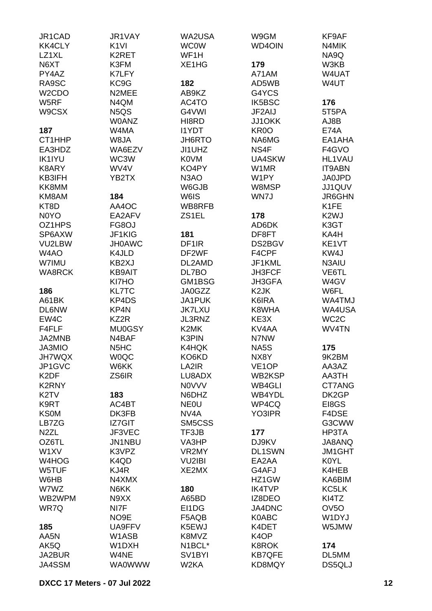| JR1CAD             | JR1VAY                        | WA2USA              | W9GM               | KF9AF             |
|--------------------|-------------------------------|---------------------|--------------------|-------------------|
| <b>KK4CLY</b>      | K <sub>1VI</sub>              | <b>WC0W</b>         | WD4OIN             | N4MIK             |
| LZ1XL              | K2RET                         | WF1H                |                    | NA9Q              |
| N6XT               | K3FM                          | XE1HG               | 179                | W3KB              |
| PY4AZ              | K7LFY                         |                     | A71AM              | W4UAT             |
| RA9SC              | KC9G                          | 182                 | AD5WB              | W4UT              |
| W <sub>2</sub> CDO | N2MEE                         | AB9KZ               | G4YCS              |                   |
| W5RF               |                               |                     | <b>IK5BSC</b>      |                   |
|                    | N4QM                          | AC4TO               |                    | 176               |
| W9CSX              | N <sub>5</sub> Q <sub>S</sub> | G4VWI               | JF2AIJ             | 5T5PA             |
|                    | <b>W0ANZ</b>                  | HI8RD               | JJ1OKK             | AJ8B              |
| 187                | W4MA                          | <b>I1YDT</b>        | KR <sub>0</sub> O  | <b>E74A</b>       |
| CT1HHP             | W8JA                          | JH6RTO              | NA6MG              | EA1AHA            |
| EA3HDZ             | WA6EZV                        | JI1UHZ              | NS4F               | F4GVO             |
| <b>IK1IYU</b>      | WC3W                          | <b>K0VM</b>         | <b>UA4SKW</b>      | <b>HL1VAU</b>     |
| K8ARY              | WV4V                          | KO4PY               | W1MR               | IT9ABN            |
| KB3IFH             | YB2TX                         | N <sub>3</sub> AO   | W1PY               | <b>JA0JPD</b>     |
| KK8MM              |                               | W6GJB               | W8MSP              | JJ1QUV            |
| KM8AM              | 184                           | W6IS                | WN7J               | JR6GHN            |
| KT8D               | AA4OC                         | WB8RFB              |                    | K <sub>1</sub> FE |
| N0YO               | EA2AFV                        | ZS1EL               | 178                | K <sub>2</sub> WJ |
| OZ1HPS             | FG8OJ                         |                     | AD6DK              | K3GT              |
| SP6AXW             | JF1KIG                        | 181                 | DF8FT              | KA4H              |
| VU2LBW             | <b>JH0AWC</b>                 | DF <sub>1</sub> R   | DS2BGV             | KE1VT             |
| W4AO               | K4JLD                         | DF2WF               | F4CPF              | KW4J              |
| W7IMU              | KB2XJ                         | DL2AMD              | JF1KML             | N3AIU             |
| <b>WA8RCK</b>      | <b>KB9AIT</b>                 | DL7BO               | <b>JH3FCF</b>      | VE6TL             |
|                    |                               | GM1BSG              |                    |                   |
|                    | KI7HO                         |                     | JH3GFA             | W4GV              |
| 186                | <b>KL7TC</b>                  | JA0GZZ              | K <sub>2</sub> JK  | W6FL              |
| A61BK              | KP4DS                         | JA1PUK              | K6IRA              | WA4TMJ            |
| <b>DL6NW</b>       | KP4N                          | <b>JK7LXU</b>       | K8WHA              | WA4USA            |
| EW4C               | KZ2R                          | JL3RNZ              | KE3X               | WC <sub>2</sub> C |
| F4FLF              | <b>MU0GSY</b>                 | K2MK                | KV4AA              | WV4TN             |
| JA2MNB             | N4BAF                         | K3PIN               | N7NW               |                   |
| <b>JA3MIO</b>      | N <sub>5</sub> H <sub>C</sub> | K4HQK               | NA5S               | 175               |
| <b>JH7WQX</b>      | <b>W0QC</b>                   | KO6KD               | NX8Y               | 9K2BM             |
| JP1GVC             | W6KK                          | LA2IR               | VE <sub>1</sub> OP | AA3AZ             |
| K <sub>2</sub> DF  | ZS6IR                         | LU8ADX              | WB2KSP             | AA3TH             |
| <b>K2RNY</b>       |                               | <b>NOVVV</b>        | WB4GLI             | CT7ANG            |
| K <sub>2</sub> TV  | 183                           | N6DHZ               | WB4YDL             | DK2GP             |
| K9RT               | AC4BT                         | NE <sub>0</sub> U   | WP4CQ              | EI8GS             |
| <b>KS0M</b>        | DK3FB                         | NV4A                | YO3IPR             | F4DSE             |
| LB7ZG              | <b>IZ7GIT</b>                 | SM5CSS              |                    | G3CWW             |
| N <sub>2</sub> ZL  | <b>JF3VEC</b>                 | TF3JB               | 177                | HP3TA             |
| OZ6TL              | <b>JN1NBU</b>                 | VA3HP               | DJ9KV              | JA8ANQ            |
| W1XV               | K3VPZ                         | VR2MY               | <b>DL1SWN</b>      | JM1GHT            |
| W4HOG              | K4QD                          | <b>VU2IBI</b>       | EA2AA              | K0YL              |
| W5TUF              | KJ4R                          | XE2MX               | G4AFJ              | K4HEB             |
| W6HB               | N4XMX                         |                     |                    | KA6BIM            |
|                    |                               |                     | HZ1GW              |                   |
| W7WZ               | N6KK                          | 180                 | <b>IK4TVP</b>      | KC5LK             |
| WB2WPM             | N9XX                          | A65BD               | IZ8DEO             | KI4TZ             |
| WR7Q               | NI7F                          | EI1DG               | JA4DNC             | OV <sub>5</sub> O |
|                    | NO9E                          | F5AQB               | <b>K0ABC</b>       | W1DYJ             |
| 185                | UA9FFV                        | K5EWJ               | K4DET              | W5JMW             |
| AA5N               | W1ASB                         | K8MVZ               | K <sub>4</sub> OP  |                   |
| AK5Q               | W1DXH                         | N1BCL*              | <b>K8ROK</b>       | 174               |
| JA2BUR             | W4NE                          | SV <sub>1</sub> BYI | <b>KB7QFE</b>      | DL5MM             |
| JA4SSM             | <b>WA0WWW</b>                 | W2KA                | KD8MQY             | DS5QLJ            |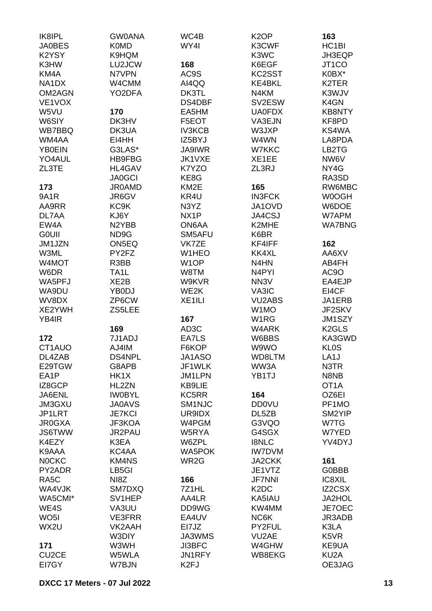| IK8IPL<br><b>JA0BES</b>        | <b>GW0ANA</b><br><b>K0MD</b> | WC4B<br>WY4I       | K <sub>2</sub> OP<br>K3CWF    | 163<br>HC <sub>1</sub> BI |
|--------------------------------|------------------------------|--------------------|-------------------------------|---------------------------|
| K2YSY                          | K9HQM                        |                    | K3WC                          | JH3EQP                    |
| K3HW                           | LU2JCW                       | 168                | K6EGF                         | JT <sub>1</sub> CO        |
| KM4A                           | N7VPN                        | AC9S               | KC2SST                        | K0BX*                     |
| NA <sub>1</sub> D <sub>X</sub> | W4CMM                        | AI4QQ              | <b>KE4BKL</b>                 | K2TER                     |
| OM2AGN                         | YO2DFA                       | DK3TL              | N4KM                          | K3WJV                     |
|                                |                              |                    |                               |                           |
| VE1VOX                         |                              | DS4DBF             | SV2ESW                        | K4GN<br>KB8NTY            |
| W5VU                           | 170                          | EA5HM              | <b>UA0FDX</b>                 |                           |
| W6SIY                          | DK3HV                        | F5EOT              | VA3EJN                        | KF8PD                     |
| WB7BBQ                         | DK3UA                        | <b>IV3KCB</b>      | W3JXP                         | KS4WA                     |
| WM4AA                          | EI4HH                        | IZ5BYJ             | W4WN                          | LA8PDA                    |
| <b>YB0EIN</b>                  | G3LAS*                       | <b>JA9IWR</b>      | W7KKC                         | LB2TG                     |
| YO4AUL                         | HB9FBG                       | JK1VXE             | XE1EE                         | NW6V                      |
| ZL3TE                          | HL4GAV                       | K7YZO              | ZL3RJ                         | NY4G                      |
|                                | <b>JA0GCI</b>                | KE8G               |                               | RA3SD                     |
| 173                            | <b>JR0AMD</b>                | KM <sub>2</sub> E  | 165                           | RW6MBC                    |
| <b>9A1R</b>                    | JR6GV                        | KR4U               | <b>IN3FCK</b>                 | W0OGH                     |
| AA9RR                          | KC <sub>9</sub> K            | N3YZ               | JA1OVD                        | W6DOE                     |
| DL7AA                          | KJ6Y                         | NX1P               | JA4CSJ                        | W7APM                     |
| EW4A                           | N2YBB                        | ON6AA              | K2MHE                         | <b>WA7BNG</b>             |
| <b>GOUII</b>                   | ND9G                         | SM5AFU             | K6BR                          |                           |
| JM1JZN                         | ON5EQ                        | VK7ZE              | KF4IFF                        | 162                       |
| W3ML                           | PY2FZ                        | W1HEO              | <b>KK4XL</b>                  | AA6XV                     |
| W4MOT                          | R3BB                         | W <sub>1</sub> OP  | N4HN                          | AB4FH                     |
| W6DR                           | TA <sub>1</sub> L            | W8TM               | N <sub>4</sub> PYI            | AC9O                      |
| WA5PFJ                         | XE <sub>2</sub> B            | W9KVR              | NN3V                          | EA4EJP                    |
| WA9DU                          | YB0DJ                        | WE2K               | VA3IC                         | EI4CF                     |
| WV8DX                          | ZP6CW                        | XE <sub>1ILI</sub> | <b>VU2ABS</b>                 | JA1ERB                    |
| XE2YWH                         | ZS5LEE                       |                    | W1MO                          | JF2SKV                    |
| YB4IR                          |                              | 167                | W1RG                          | JM1SZY                    |
|                                | 169                          | AD3C               | W4ARK                         | K <sub>2</sub> GLS        |
| 172                            | 7J1ADJ                       | EA7LS              | W6BBS                         | KA3GWD                    |
| CT1AUO                         | AJ4IM                        | F6KOP              | W9WO                          | <b>KL0S</b>               |
| DL4ZAB                         | DS4NPL                       | JA1ASO             | WD8LTM                        | LA <sub>1</sub> J         |
| E29TGW                         | G8APB                        | JF1WLK             | WW3A                          | N3TR                      |
| EA1P                           | HK1X                         | JM1LPN             | YB1TJ                         | N8NB                      |
| IZ8GCP                         | HL2ZN                        | KB9LIE             |                               | OT <sub>1</sub> A         |
| JA6ENL                         | <b>IWOBYL</b>                | KC5RR              | 164                           | OZ6EI                     |
| JM3GXU                         | <b>JA0AVS</b>                | SM1NJC             | <b>DD0VU</b>                  | PF1MO                     |
| JP1LRT                         | <b>JE7KCI</b>                | UR9IDX             | DL5ZB                         | SM2YIP                    |
| <b>JR0GXA</b>                  | JF3KOA                       | W4PGM              | G3VQO                         | W7TG                      |
| <b>JS6TWW</b>                  | JR2PAU                       | W5RYA              | G4SGX                         | W7YED                     |
| K4EZY                          | K3EA                         | W6ZPL              | <b>I8NLC</b>                  | YV4DYJ                    |
| K9AAA                          | KC4AA                        | <b>WA5POK</b>      | <b>IW7DVM</b>                 |                           |
| <b>NOCKC</b>                   | KM4NS                        | WR2G               | <b>JA2CKK</b>                 | 161                       |
| PY2ADR                         | LB5GI                        |                    | JE1VTZ                        | <b>G0BBB</b>              |
| RA <sub>5</sub> C              | NI8Z                         | 166                | <b>JF7NNI</b>                 | IC8XIL                    |
| WA4VJK                         | SM7DXQ                       | 7Z1HL              | K <sub>2</sub> D <sub>C</sub> | IZ2CSX                    |
| WA5CMI*                        | SV1HEP                       | AA4LR              | KA5IAU                        | JA2HOL                    |
| WE4S                           | VA3UU                        | DD9WG              | KW4MM                         | JE7OEC                    |
| WO <sub>5</sub> I              | <b>VE3FRR</b>                | EA4UV              | NC6K                          | JR3ADB                    |
| WX2U                           | VK2AAH                       | EI7JZ              | PY2FUL                        | K3LA                      |
|                                | W3DIY                        | JA3WMS             | VU2AE                         | K5VR                      |
| 171                            | W3WH                         | <b>JI3BFC</b>      | W4GHW                         | KE9UA                     |
| CU <sub>2</sub> CE             | W5WLA                        | JN1RFY             | WB8EKG                        | KU <sub>2</sub> A         |
| EI7GY                          | W7BJN                        | K <sub>2F</sub> J  |                               | OE3JAG                    |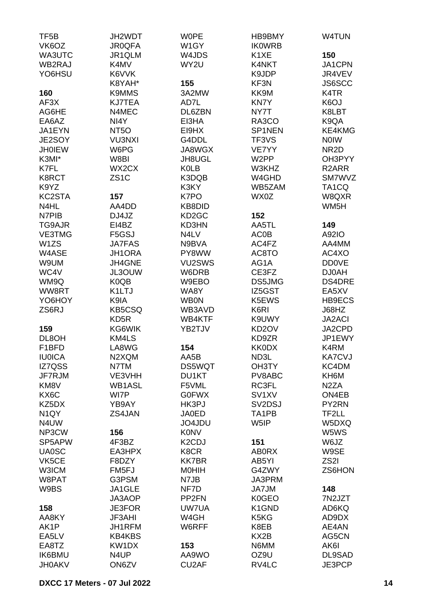| TF <sub>5</sub> B<br>VK6OZ | JH2WDT<br><b>JR0QFA</b> | <b>WOPE</b><br>W1GY             | HB9BMY<br><b>IK0WRB</b>         | W4TUN              |
|----------------------------|-------------------------|---------------------------------|---------------------------------|--------------------|
| WA3UTC                     | JR1QLM                  | W4JDS                           | K <sub>1</sub> XE               | 150                |
| WB2RAJ                     | K4MV                    | WY2U                            | K4NKT                           | JA1CPN             |
| YO6HSU                     | K6VVK                   |                                 | K9JDP                           | JR4VEV             |
|                            | K8YAH*                  | 155                             | KF3N                            | JS6SCC             |
| 160                        | K9MMS                   | 3A2MW                           | KK9M                            | K4TR               |
|                            |                         |                                 |                                 |                    |
| AF3X                       | <b>KJ7TEA</b>           | AD7L                            | <b>KN7Y</b>                     | K6OJ               |
| AG6HE                      | N4MEC                   | DL6ZBN                          | NY7T                            | K8LBT              |
| EA6AZ                      | NI4Y                    | EI3HA                           | RA3CO                           | K9QA               |
| JA1EYN                     | NT <sub>50</sub>        | EI9HX                           | SP1NEN                          | KE4KMG             |
| JE2SOY                     | <b>VU3NXI</b>           | G4DDL                           | TF3VS                           | <b>NOIW</b>        |
| <b>JH0IEW</b>              | W6PG                    | JA8WGX                          | VE7YY                           | NR <sub>2</sub> D  |
| K3MI*                      | W8BI                    | JH8UGL                          | W <sub>2</sub> PP               | OH3PYY             |
| K7FL                       | WX2CX                   | <b>K0LB</b>                     | W3KHZ                           | R <sub>2</sub> ARR |
| K8RCT                      | ZS <sub>1</sub> C       | K3DQB                           | W4GHD                           | SM7WVZ             |
| K9YZ                       |                         | K3KY                            | WB5ZAM                          | TA <sub>1</sub> CQ |
| KC2STA                     | 157                     | K7PO                            | WX0Z                            | W8QXR              |
| N4HL                       | AA4DD                   | KB8DID                          |                                 | WM <sub>5</sub> H  |
| N7PIB                      | DJ4JZ                   | KD <sub>2</sub> GC              | 152                             |                    |
| <b>TG9AJR</b>              | EI4BZ                   | KD3HN                           | AA5TL                           | 149                |
| <b>VE3TMG</b>              | F5GSJ                   | N4LV                            | <b>AC0B</b>                     | A92IO              |
| W <sub>1</sub> ZS          | <b>JA7FAS</b>           | N9BVA                           | AC4FZ                           | AA4MM              |
| W4ASE                      | <b>JH1ORA</b>           | PY8WW                           | AC8TO                           | AC4XO              |
| W9UM                       | JH4GNE                  | VU2SWS                          | AG1A                            | <b>DD0VE</b>       |
| WC4V                       | JL3OUW                  | W6DRB                           | CE3FZ                           | <b>DJ0AH</b>       |
| WM9Q                       | K0QB                    | W9EBO                           | DS5JMG                          | DS4DRE             |
| WW8RT                      | K1LTJ                   | WA8Y                            | IZ5GST                          | EA5XV              |
| YO6HOY                     | K9IA                    | <b>WB0N</b>                     | K5EWS                           | HB9ECS             |
| ZS6RJ                      | <b>KB5CSQ</b>           | WB3AVD                          | K6RI                            | J68HZ              |
|                            | KD <sub>5</sub> R       | WB4KTF                          | K9UWY                           | <b>JA2ACI</b>      |
| 159                        | KG6WIK                  | YB2TJV                          | KD <sub>2</sub> OV              | JA2CPD             |
| DL8OH                      | KM4LS                   |                                 | KD9ZR                           | JP1EWY             |
| F <sub>1</sub> BFD         | LA8WG                   | 154                             | <b>KK0DX</b>                    | K4RM               |
| <b>IU0ICA</b>              | N2XQM                   | AA5B                            | ND3L                            | <b>KA7CVJ</b>      |
| IZ7QSS                     | N7TM                    | <b>DS5WQT</b>                   | OH3TY                           | KC4DM              |
| JF7RJM                     | VE3VHH                  | DU1KT                           | PV8ABC                          | KH6M               |
| KM8V                       | <b>WB1ASL</b>           | F5VML                           | RC3FL                           | N <sub>2</sub> ZA  |
| KX6C                       | WI7P                    | <b>G0FWX</b>                    | SV <sub>1</sub> XV              | ON4EB              |
| KZ5DX                      | YB9AY                   | HK3PJ                           | SV <sub>2</sub> D <sub>SJ</sub> | PY2RN              |
| N <sub>1</sub> QY          | ZS4JAN                  | <b>JA0ED</b>                    | TA <sub>1</sub> PB              | TF2LL              |
| N <sub>4</sub> UW          |                         | JO4JDU                          | W5IP                            | W5DXQ              |
| NP3CW                      | 156                     | <b>K0NV</b>                     |                                 | W5WS               |
| SP5APW                     | 4F3BZ                   | K <sub>2</sub> C <sub>D</sub> J | 151                             | W6JZ               |
| <b>UA0SC</b>               | EA3HPX                  | K8CR                            | <b>ABORX</b>                    | W9SE               |
| VK5CE                      | F8DZY                   | <b>KK7BR</b>                    | AB5YI                           | ZS2I               |
| <b>W3ICM</b>               | FM5FJ                   | <b>MOHIH</b>                    | G4ZWY                           | ZS6HON             |
| W8PAT                      | G3PSM                   | N7JB                            | JA3PRM                          |                    |
| W9BS                       | JA1GLE                  | NF7D                            | JA7JM                           | 148                |
|                            | JA3AOP                  | PP <sub>2FN</sub>               | K0GEO                           | 7N2JZT             |
| 158                        | JE3FOR                  | UW7UA                           | K <sub>1</sub> GND              | AD6KQ              |
| AA8KY                      | <b>JF3AHI</b>           | W4GH                            | K <sub>5</sub> K <sub>G</sub>   | AD9DX              |
| AK1P                       | JH1RFM                  | W6RFF                           | K8EB                            | AE4AN              |
| EA5LV                      | <b>KB4KBS</b>           |                                 | KX <sub>2</sub> B               | AG5CN              |
| EA8TZ                      | KW1DX                   | 153                             | N6MM                            | AK6I               |
| <b>IK6BMU</b>              | N4UP                    | AA9WO                           | OZ9U                            | DL9SAD             |
| <b>JH0AKV</b>              | ON6ZV                   | CU <sub>2</sub> AF              | RV4LC                           | JE3PCP             |
|                            |                         |                                 |                                 |                    |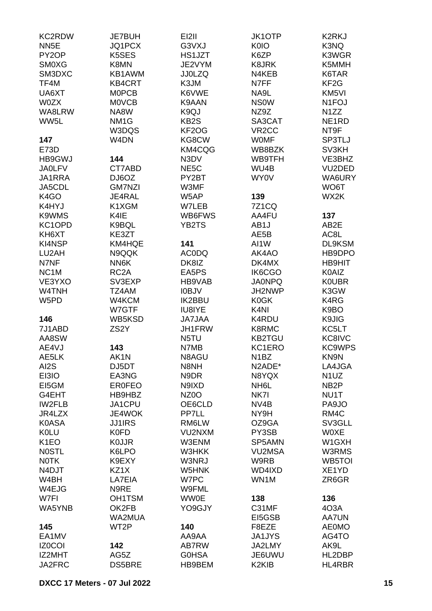| <b>KC2RDW</b>     | <b>JE7BUH</b>     | EI2II             | <b>JK1OTP</b>                  | <b>K2RKJ</b>       |
|-------------------|-------------------|-------------------|--------------------------------|--------------------|
| NN <sub>5E</sub>  | JQ1PCX            | G3VXJ             | <b>K0IO</b>                    | K3NQ               |
| PY2OP             | K5SES             | HS1JZT            | K6ZP                           | K3WGR              |
| <b>SM0XG</b>      | K8MN              | JE2VYM            | K8JRK                          | K5MMH              |
| SM3DXC            | KB1AWM            | <b>JJ0LZQ</b>     | N4KEB                          | K6TAR              |
| TF4M              | <b>KB4CRT</b>     | K3JM              | N7FF                           | KF <sub>2</sub> G  |
|                   | <b>MOPCB</b>      |                   |                                |                    |
| UA6XT             |                   | K6VWE             | NA9L                           | KM5VI              |
| <b>W0ZX</b>       | <b>MOVCB</b>      | K9AAN             | <b>NSOW</b>                    | N <sub>1</sub> FOJ |
| WA8LRW            | NA8W              | K9QJ              | NZ9Z                           | N <sub>1</sub> ZZ  |
| WW5L              | NM <sub>1</sub> G | KB <sub>2</sub> S | SA3CAT                         | NE <sub>1</sub> RD |
|                   | W3DQS             | KF2OG             | VR <sub>2</sub> CC             | NT9F               |
| 147               | W <sub>4</sub> DN | KG8CW             | <b>WOMF</b>                    | SP3TLJ             |
| E73D              |                   | KM4CQG            | WB8BZK                         | SV3KH              |
| <b>HB9GWJ</b>     | 144               | N3DV              | WB9TFH                         | VE3BHZ             |
| <b>JA0LFV</b>     | CT7ABD            | NE <sub>5</sub> C | WU4B                           | VU2DED             |
| JA1RRA            | DJ6OZ             | PY2BT             | WY0V                           | WA6URY             |
| JA5CDL            | <b>GM7NZI</b>     | W3MF              |                                | WO6T               |
| K <sub>4</sub> GO | JE4RAL            | W5AP              | 139                            | WX2K               |
| K4HYJ             | K1XGM             | W7LEB             | <b>7Z1CQ</b>                   |                    |
| K9WMS             | K4IE              | WB6FWS            | AA4FU                          | 137                |
| KC1OPD            | K9BQL             | YB2TS             | AB1J                           | AB2E               |
| KH6XT             | KE3ZT             |                   | AE5B                           | AC8L               |
| KI4NSP            | KM4HQE            | 141               | AI1W                           | DL9KSM             |
| LU2AH             | N9QQK             | <b>ACODQ</b>      | AK4AO                          | HB9DPO             |
| N7NF              | NN6K              | DK8IZ             | DK4MX                          | <b>HB9HIT</b>      |
|                   | RC <sub>2</sub> A |                   |                                |                    |
| NC <sub>1</sub> M |                   | EA5PS             | IK6CGO                         | <b>K0AIZ</b>       |
| VE3YXO            | SV3EXP            | HB9VAB            | <b>JA0NPQ</b>                  | <b>KOUBR</b>       |
| W4TNH             | TZ4AM             | <b>IOBJV</b>      | JH2NWP                         | K3GW               |
| W5PD              | W4KCM             | <b>IK2BBU</b>     | K0GK                           | K4RG               |
|                   | W7GTF             | IU8IYE            | K <sub>4N</sub>                | K9BO               |
| 146               | WB5KSD            | <b>JA7JAA</b>     | K4RDU                          | K9JIG              |
| 7J1ABD            | ZS <sub>2</sub> Y | JH1FRW            | K8RMC                          | KC5LT              |
| AA8SW             |                   | N5TU              | <b>KB2TGU</b>                  | KC8IVC             |
| AE4VJ             | 143               | N7MB              | KC1ERO                         | <b>KC9WPS</b>      |
| AE5LK             | AK1N              | N8AGU             | N <sub>1</sub> BZ              | KN9N               |
| AI2S              | DJ5DT             | N8NH              | N2ADE*                         | LA4JGA             |
| EI3IO             | EA3NG             | N9DR              | N8YQX                          | N <sub>1</sub> UZ  |
| EI5GM             | <b>ER0FEO</b>     | N9IXD             | NH <sub>6</sub> L              | NB <sub>2</sub> P  |
| G4EHT             | HB9HBZ            | NZ <sub>0</sub> O | NK7I                           | NU1T               |
| <b>IW2FLB</b>     | JA1CPU            | OE6CLD            | NV <sub>4</sub> B              | PA9JO              |
| JR4LZX            | <b>JE4WOK</b>     | PP7LL             | NY9H                           | RM4C               |
| <b>K0ASA</b>      | <b>JJ1IRS</b>     | RM6LW             | OZ9GA                          | SV3GLL             |
| <b>KOLU</b>       | <b>K0FD</b>       | VU2NXM            | PY3SB                          | <b>WOXE</b>        |
| K <sub>1</sub> EO | <b>KOJJR</b>      | W3ENM             | SP5AMN                         | W1GXH              |
| <b>NOSTL</b>      | K6LPO             | W3HKK             | <b>VU2MSA</b>                  | W3RMS              |
|                   |                   |                   | W9RB                           |                    |
| <b>NOTK</b>       | K9EXY             | W3NRJ             |                                | <b>WB5TOI</b>      |
| N4DJT             | KZ1X              | W5HNK             | WD4IXD                         | XE1YD              |
| W4BH              | LA7EIA            | W7PC              | WN1M                           | ZR6GR              |
| W4EJG             | N9RE              | W9FML             |                                |                    |
| W7FI              | OH1TSM            | <b>WW0E</b>       | 138                            | 136                |
| WA5YNB            | OK2FB             | YO9GJY            | C31MF                          | 4O3A               |
|                   | WA2MUA            |                   | EI5GSB                         | <b>AA7UN</b>       |
| 145               | WT2P              | 140               | F8EZE                          | <b>AE0MO</b>       |
| EA1MV             |                   | AA9AA             | <b>JA1JYS</b>                  | AG4TO              |
| <b>IZ0COI</b>     | 142               | AB7RW             | JA2LMY                         | AK9L               |
| IZ2MHT            | AG5Z              | <b>GOHSA</b>      | JE6UWU                         | HL2DBP             |
| JA2FRC            | <b>DS5BRE</b>     | HB9BEM            | K <sub>2</sub> KI <sub>B</sub> | HL4RBR             |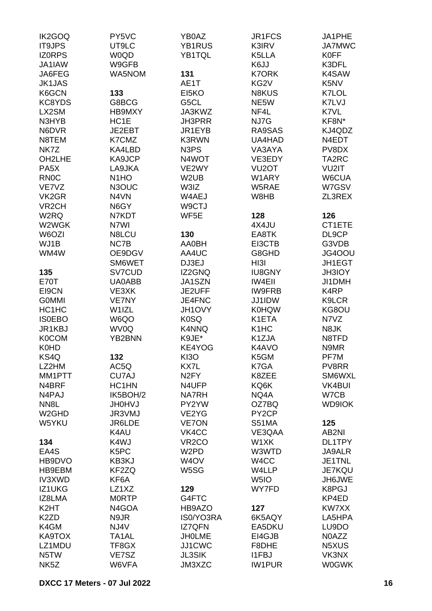| <b>IK2GOQ</b><br><b>IT9JPS</b> | PY5VC<br>UT9LC     | YB0AZ<br>YB1RUS    | JR1FCS<br>K3IRV               | JA1PHE<br><b>JA7MWC</b> |
|--------------------------------|--------------------|--------------------|-------------------------------|-------------------------|
| <b>IZORPS</b>                  | <b>WOQD</b>        | YB1TQL             | K5LLA                         | <b>K0FF</b>             |
| JA1IAW                         | W9GFB              |                    | K6JJ                          | K3DFL                   |
| JA6FEG                         | WA5NOM             | 131                | <b>K7ORK</b>                  | K4SAW                   |
| <b>JK1JAS</b>                  |                    | AE1T               | KG2V                          | K5NV                    |
| K6GCN                          | 133                | EI5KO              | <b>N8KUS</b>                  | K7LOL                   |
| KC8YDS                         | G8BCG              | G5CL               | NE5W                          | K7LVJ                   |
| LX2SM                          | HB9MXY             | JA3KWZ             | NF4L                          | K7VL                    |
| N3HYB                          | HC1E               | <b>JH3PRR</b>      | NJ7G                          | KF8N*                   |
| N6DVR                          | JE2EBT             | JR1EYB             | RA9SAS                        | KJ4QDZ                  |
| N8TEM                          | K7CMZ              | <b>K3RWN</b>       | UA4HAD                        | N4EDT                   |
| NK7Z                           | KA4LBD             | N3PS               | VA3AYA                        | PV8DX                   |
| OH2LHE                         | KA9JCP             | N4WOT              | VE3EDY                        | TA2RC                   |
| PA <sub>5</sub> X              | LA9JKA             | VE2WY              | VU <sub>2</sub> OT            | VU2IT                   |
| <b>RN0C</b>                    | N <sub>1</sub> HO  | W <sub>2</sub> UB  | W1ARY                         | W6CUA                   |
| VE7VZ                          | N3OUC              | W3IZ               | W5RAE                         | W7GSV                   |
| VK <sub>2</sub> GR             | N4VN               | W4AEJ              | W8HB                          | ZL3REX                  |
| VR <sub>2</sub> CH             | N6GY               | W9CTJ              |                               |                         |
| W2RQ                           | N7KDT              | WF5E               | 128                           | 126                     |
| W2WGK                          | N7WI               |                    | 4X4JU                         | CT1ETE                  |
| W6OZI                          | N8LCU              | 130                | EA8TK                         | DL9CP                   |
| WJ1B                           | NC7B               | AA0BH              | EI3CTB                        | G3VDB                   |
| WM4W                           | OE9DGV             | AA4UC              | G8GHD                         | JG4OOU                  |
|                                | SM6WET             | DJ3EJ              | HI3I                          | JH1EGT                  |
| 135                            | SV7CUD             | IZ2GNQ             | <b>IU8GNY</b>                 | <b>JH3IOY</b>           |
| <b>E70T</b>                    | UA0ABB             | JA1SZN             | <b>IW4EII</b>                 | JI1DMH                  |
| EI9CN                          | VE3XK              | JE2UFF             | <b>IW9FRB</b>                 | K4RP                    |
| <b>GOMMI</b>                   | VE7NY              | JE4FNC             | JJ1IDW                        | K9LCR                   |
| HC1HC                          | W1IZL              | JH1OVY             | <b>K0HQW</b>                  | KG8OU                   |
| <b>ISOEBO</b>                  | W6QO               | K <sub>0</sub> SQ  | K1ETA                         | N7VZ                    |
| JR1KBJ                         | WV0Q               | <b>K4NNQ</b>       | K <sub>1</sub> HC             | N8JK                    |
| <b>K0COM</b>                   | YB2BNN             | K9JE*              | K1ZJA                         | N8TFD                   |
| <b>K0HD</b>                    |                    | KE4YOG             | K4AVO                         | N9MR                    |
| KS4Q                           | 132                | <b>KI3O</b>        | K5GM                          | PF7M                    |
| LZ2HM                          | AC5Q               | KX7L               | K7GA                          | PV8RR                   |
| MM1PTT                         | CU7AJ              | N <sub>2</sub> FY  | K8ZEE                         | SM6WXL                  |
| N4BRF                          | HC1HN              | N4UFP              | KQ6K                          | VK4BUI                  |
| N4PAJ                          | IK5BOH/2           | <b>NA7RH</b>       | NQ4A                          | W7CB                    |
| NN <sub>8</sub> L              | <b>UNOHU</b>       | PY2YW              | OZ7BQ                         | <b>WD9IOK</b>           |
| W <sub>2</sub> GHD             | JR3VMJ             | VE2YG              | PY2CP                         |                         |
| W5YKU                          | JR6LDE             | <b>VE7ON</b>       | S51MA                         | 125                     |
|                                | K4AU               | VK4CC              | VE3QAA                        | AB2NI                   |
| 134                            | K4WJ               | VR <sub>2</sub> CO | W1XK                          | DL1TPY                  |
| EA4S                           | K5PC               | W <sub>2</sub> PD  | W3WTD                         | <b>JA9ALR</b>           |
| HB9DVO                         | KB3KJ              | W <sub>4</sub> OV  | W4CC                          | JE1TNL                  |
| HB9EBM                         | KF2ZQ              | W5SG               | W4LLP                         | <b>JE7KQU</b>           |
| <b>IV3XWD</b>                  | KF6A               |                    | W <sub>5I</sub> O             | JH6JWE                  |
| IZ1UKG                         | LZ1XZ              | 129                | WY7FD                         | K8PGJ                   |
| IZ8LMA                         | <b>MORTP</b>       | G4FTC              |                               | KP4ED                   |
| K <sub>2</sub> HT              | N4GOA              | HB9AZO             | 127                           | KW7XX                   |
| K <sub>2</sub> ZD              | N9JR               | IS0/YO3RA          | 6K5AQY                        | LA5HPA                  |
| K4GM                           | NJ4V               | <b>IZ7QFN</b>      | EA5DKU                        | LU9DO                   |
| KA9TOX                         | TA <sub>1</sub> AL | <b>JHOLME</b>      | EI4GJB                        | N0AZZ                   |
| LZ1MDU                         | TF8GX              | JJ1CWC             | F8DHE                         | N5XUS                   |
| N5TW<br>NK <sub>5</sub> Z      | VE7SZ              | <b>JL3SIK</b>      | <b>I1FBJ</b><br><b>IW1PUR</b> | VK3NX                   |
|                                | W6VFA              | JM3XZC             |                               | <b>W0GWK</b>            |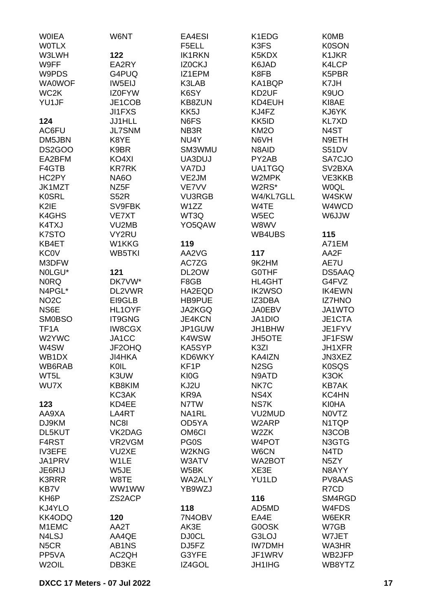| <b>WOIEA</b>       | W6NT              | EA4ESI             | K1EDG             | <b>K0MB</b>                   |
|--------------------|-------------------|--------------------|-------------------|-------------------------------|
| <b>WOTLX</b>       |                   | F5ELL              | K3FS              | <b>K0SON</b>                  |
| W3LWH              | 122               | <b>IK1RKN</b>      | K5KDX             | K1JKR                         |
| W9FF               | EA2RY             | <b>IZ0CKJ</b>      | K6JAD             | K4LCP                         |
| W9PDS              | G4PUQ             | IZ1EPM             | K8FB              | K5PBR                         |
| <b>WA0WOF</b>      |                   | K3LAB              |                   |                               |
|                    | IW5EIJ            |                    | KA1BQP            | K7JH                          |
| WC <sub>2</sub> K  | IZ0FYW            | K6SY               | KD2UF             | K9UO                          |
| YU1JF              | JE1COB            | <b>KB8ZUN</b>      | KD4EUH            | KI8AE                         |
|                    | <b>JI1FXS</b>     | KK5J               | KJ4FZ             | KJ6YK                         |
| 124                | JJ1HLL            | N6FS               | KK5ID             | KL7XD                         |
| AC6FU              | <b>JL7SNM</b>     | NB3R               | <b>KM2O</b>       | N4ST                          |
| DM5JBN             | K8YE              | NU4Y               | N6VH              | N9ETH                         |
| DS2GOO             | K9BR              | SM3WMU             | N8AID             | S51DV                         |
| EA2BFM             | KO4XI             | UA3DUJ             | PY2AB             | SA7CJO                        |
| F4GTB              | <b>KR7RK</b>      | VA7DJ              | UA1TGQ            | SV <sub>2</sub> BXA           |
| HC2PY              | <b>NA6O</b>       | VE2JM              | W2MPK             | VE3KKB                        |
| JK1MZT             | NZ <sub>5</sub> F | VE7VV              | W2RS*             | <b>WOQL</b>                   |
| <b>K0SRL</b>       | <b>S52R</b>       | <b>VU3RGB</b>      | W4/KL7GLL         | W4SKW                         |
|                    |                   |                    |                   |                               |
| K <sub>2</sub> IE  | SV9FBK            | W1ZZ               | W4TE              | W4WCD                         |
| K4GHS              | VE7XT             | WT3Q               | W5EC              | <b>WUJA</b>                   |
| K4TXJ              | VU2MB             | YO5QAW             | W8WV              |                               |
| K7STO              | VY2RU             |                    | WB4UBS            | 115                           |
| KB4ET              | W1KKG             | 119                |                   | A71EM                         |
| <b>KC0V</b>        | WB5TKI            | AA2VG              | 117               | AA2F                          |
| M3DFW              |                   | AC7ZG              | 9K2HM             | AE7U                          |
| NOLGU*             | 121               | DL2OW              | <b>GOTHF</b>      | DS5AAQ                        |
| <b>NORQ</b>        | DK7VW*            | F8GB               | HL4GHT            | G4FVZ                         |
| N4PGL*             | DL2VWR            | HA2EQD             | <b>IK2WSO</b>     | <b>IK4EWN</b>                 |
| NO <sub>2</sub> C  | EI9GLB            | HB9PUE             | IZ3DBA            | <b>IZ7HNO</b>                 |
| NS6E               | HL1OYF            | JA2KGQ             | <b>JA0EBV</b>     | JA1WTO                        |
| <b>SM0BSO</b>      | IT9GNG            | <b>JE4KCN</b>      | JA1DIO            | JE1CTA                        |
| TF <sub>1</sub> A  | <b>IW8CGX</b>     | JP1GUW             |                   | JE1FYV                        |
|                    |                   |                    | JH1BHW            |                               |
| W2YWC              | JA1CC             | K4WSW              | <b>JH5OTE</b>     | JF1FSW                        |
| W4SW               | JF2OHQ            | KA5SYP             | K3ZI              | JH1XFR                        |
| WB1DX              | JI4HKA            | KD6WKY             | KA4IZN            | JN3XEZ                        |
| WB6RAB             | KOIL              | KF <sub>1</sub> P  | N <sub>2</sub> SG | <b>K0SQS</b>                  |
| WT5L               | K3UW              | KI0G               | N9ATD             | K3OK                          |
| WU7X               | KB8KIM            | KJ2U               | NK7C              | <b>KB7AK</b>                  |
|                    | KC3AK             | KR9A               | NS4X              | KC4HN                         |
| 123                | KD4EE             | N7TW               | NS7K              | <b>KI0HA</b>                  |
| AA9XA              | LA4RT             | NA1RL              | <b>VU2MUD</b>     | N0VTZ                         |
| DJ9KM              | NC8I              | OD5YA              | W2ARP             | N1TQP                         |
| DL5KUT             | VK2DAG            | OM <sub>6</sub> CI | W2ZK              | N3COB                         |
| F4RST              | VR2VGM            | PG0S               | W4POT             | N3GTG                         |
| <b>IV3EFE</b>      | VU2XE             | W2KNG              | W6CN              | N <sub>4</sub> T <sub>D</sub> |
| JA1PRV             | W1LE              | W3ATV              | WA2BOT            | N <sub>5</sub> ZY             |
| JE6RIJ             | W5JE              | W5BK               | XE3E              | N8AYY                         |
| <b>K3RRR</b>       | W8TE              | WA2ALY             | YU1LD             | PV8AAS                        |
|                    |                   |                    |                   |                               |
| KB7V               | WW1WW             | YB9WZJ             |                   | R7CD                          |
| KH <sub>6</sub> P  | ZS2ACP            |                    | 116               | SM4RGD                        |
| KJ4YLO             |                   | 118                | AD5MD             | W4FDS                         |
| KK4ODQ             | 120               | 7N4OBV             | EA4E              | W6EKR                         |
| M1EMC              | AA2T              | AK3E               | G0OSK             | W7GB                          |
| N4LSJ              | AA4QE             | <b>DJ0CL</b>       | G3LOJ             | W7JET                         |
| N <sub>5</sub> CR  | AB1NS             | DJ5FZ              | <b>IW7DMH</b>     | <b>WA3HR</b>                  |
| PP5VA              | AC2QH             | G3YFE              | JF1WRV            | WB2JFP                        |
| W <sub>2</sub> OIL | DB3KE             | IZ4GOL             | <b>JH1IHG</b>     | WB8YTZ                        |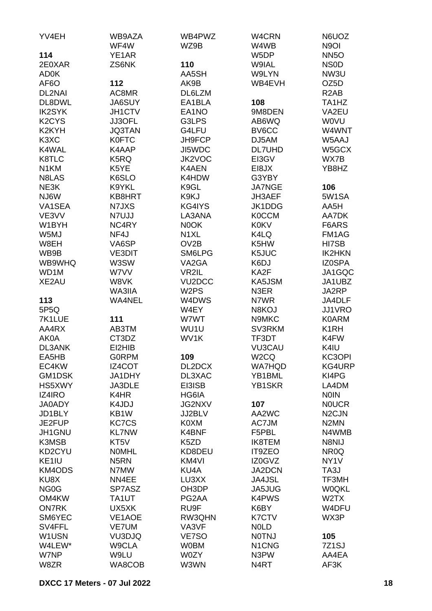| YV4EH                          | WB9AZA            | WB4PWZ              | W4CRN                          | N6UOZ                          |
|--------------------------------|-------------------|---------------------|--------------------------------|--------------------------------|
|                                | WF4W              | WZ9B                | W4WB                           | N <sub>9</sub> OI              |
| 114                            | YE1AR             |                     | W5DP                           | <b>NN5O</b>                    |
| 2E0XAR                         | ZS6NK             | 110                 | W9IAL                          | <b>NSOD</b>                    |
| <b>AD0K</b>                    |                   | AA5SH               | W9LYN                          | NW3U                           |
| AF <sub>6</sub> O              | 112               | AK9B                | WB4EVH                         | OZ <sub>5</sub> D              |
| DL2NAI                         | AC8MR             | DL6LZM              |                                | R <sub>2</sub> AB              |
| DL8DWL                         | <b>JA6SUY</b>     | EA1BLA              | 108                            | TA <sub>1</sub> H <sub>Z</sub> |
| <b>IK2SYK</b>                  | JH1CTV            | EA1NO               | 9M8DEN                         | VA2EU                          |
| K <sub>2</sub> CY <sub>S</sub> | JJ3OFL            | G3LPS               | AB6WQ                          | <b>WOVU</b>                    |
| K2KYH                          | <b>JQ3TAN</b>     | G4LFU               | BV6CC                          | W4WNT                          |
| K <sub>3</sub> X <sub>C</sub>  | <b>K0FTC</b>      | JH9FCP              | DJ5AM                          | W5AAJ                          |
| K4WAL                          | K4AAP             | JI5WDC              | <b>DL7UHD</b>                  | W5GCX                          |
| K8TLC                          | K5RQ              | JK2VOC              | EI3GV                          | WX7B                           |
| N <sub>1</sub> KM              | K5YE              | K4AEN               | EI8JX                          | YB8HZ                          |
| N8LAS                          |                   | K4HDW               |                                |                                |
|                                | K6SLO             |                     | G3YBY                          |                                |
| NE3K                           | K9YKL             | K9GL                | <b>JA7NGE</b>                  | 106                            |
| NJ6W                           | KB8HRT            | K9KJ                | JH3AEF                         | 5W1SA                          |
| VA1SEA                         | N7JXS             | KG4IYS              | JK1DDG                         | AA5H                           |
| VE3VV                          | N7UJJ             | LA3ANA              | <b>K0CCM</b>                   | AA7DK                          |
| W1BYH                          | NC4RY             | N0OK                | <b>K0KV</b>                    | F6ARS                          |
| W5MJ                           | NF4J              | N <sub>1</sub> XL   | K4LQ                           | FM1AG                          |
| W8EH                           | VA6SP             | OV <sub>2</sub> B   | K5HW                           | HI7SB                          |
| WB9B                           | <b>VE3DIT</b>     | SM6LPG              | K5JUC                          | <b>IK2HKN</b>                  |
| WB9WHQ                         | W3SW              | VA <sub>2</sub> GA  | K6DJ                           | <b>IZ0SPA</b>                  |
| WD1M                           | W7VV              | VR2IL               | KA2F                           | JA1GQC                         |
| XE2AU                          | W8VK              | VU <sub>2</sub> DCC | KA5JSM                         | JA1UBZ                         |
|                                | WA3IIA            | W <sub>2</sub> PS   | N3ER                           | JA2RP                          |
| 113                            | <b>WA4NEL</b>     | W4DWS               | N7WR                           | JA4DLF                         |
| 5P5Q                           |                   | W4EY                | N8KOJ                          | JJ1VRO                         |
| 7K1LUE                         | 111               | W7WT                | N9MKC                          | <b>K0ARM</b>                   |
| AA4RX                          | AB3TM             | WU1U                | SV3RKM                         | K <sub>1</sub> RH              |
| <b>AK0A</b>                    | CT3DZ             | WV1K                | TF3DT                          | K4FW                           |
| <b>DL3ANK</b>                  | EI2HIB            |                     | <b>VU3CAU</b>                  | K4IU                           |
| EA5HB                          | <b>GORPM</b>      | 109                 | W <sub>2</sub> CQ              | KC3OPI                         |
| EC4KW                          | IZ4COT            | DL2DCX              | <b>WA7HQD</b>                  | KG4URP                         |
| GM1DSK                         | JA1DHY            | DL3XAC              | YB1BML                         | KI4PG                          |
| HS5XWY                         | JA3DLE            | EI3ISB              | YB1SKR                         | LA4DM                          |
| <b>IZ4IRO</b>                  | K4HR              | HG6IA               |                                | <b>NOIN</b>                    |
| <b>JA0ADY</b>                  | K4JDJ             | <b>JG2NXV</b>       | 107                            | <b>NOUCR</b>                   |
| JD1BLY                         | KB1W              | JJ2BLV              | AA2WC                          | N <sub>2</sub> CJN             |
| JE2FUP                         | <b>KC7CS</b>      | K0XM                | AC7JM                          | N <sub>2</sub> MN              |
| JH1GNU                         | <b>KL7NW</b>      | K4BNF               | F5PBL                          | N4WMB                          |
|                                |                   |                     |                                |                                |
| K3MSB                          | KT5V              | K5ZD                | <b>IK8TEM</b>                  | N8NIJ                          |
| KD2CYU                         | <b>NOMHL</b>      | KD8DEU              | IT9ZEO                         | NR <sub>0</sub> Q              |
| KE1IU                          | N <sub>5</sub> RN | KM4VI               | IZ0GVZ                         | NY <sub>1</sub> V              |
| KM4ODS                         | N7MW              | KU4A                | <b>JA2DCN</b>                  | TA3J                           |
| KU8X                           | NN4EE             | LU3XX               | <b>JA4JSL</b>                  | TF3MH                          |
| NG <sub>0</sub> G              | SP7ASZ            | OH3DP               | JA5JUG                         | <b>W0QKL</b>                   |
| OM4KW                          | TA1UT             | PG2AA               | <b>K4PWS</b>                   | W <sub>2</sub> TX              |
| <b>ON7RK</b>                   | UX5XK             | RU9F                | K6BY                           | W4DFU                          |
| SM6YEC                         | VE1AOE            | RW3QHN              | K7CTV                          | WX3P                           |
| SV4FFL                         | <b>VE7UM</b>      | VA3VF               | <b>NOLD</b>                    |                                |
| W1USN                          | VU3DJQ            | VE7SO               | <b>NOTNJ</b>                   | 105                            |
| W4LEW*                         | W9CLA             | <b>W0BM</b>         | N <sub>1</sub> C <sub>NG</sub> | 7Z <sub>1</sub> SJ             |
| W7NP                           | W9LU              | W0ZY                | N3PW                           | AA4EA                          |
| W8ZR                           | WA8COB            | W3WN                | N <sub>4</sub> RT              | AF3K                           |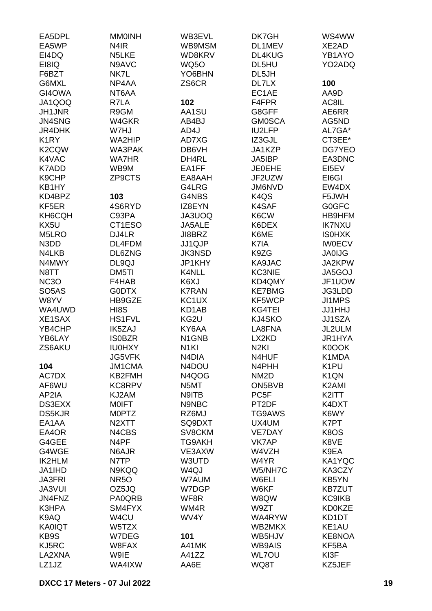| EA5DPL             | <b>MMOINH</b>      | WB3EVL            | DK7GH             | WS4WW                         |
|--------------------|--------------------|-------------------|-------------------|-------------------------------|
| EA5WP              | N <sub>4</sub> IR  | WB9MSM            | DL1MEV            | XE2AD                         |
| EI4DQ              | N5LKE              | WD8KRV            | DL4KUG            | YB1AYO                        |
| EI8IQ              | N9AVC              | <b>WQ50</b>       | DL5HU             | YO2ADQ                        |
| F6BZT              | NK7L               | YO6BHN            | DL5JH             |                               |
| G6MXL              | NP4AA              | ZS6CR             | DL7LX             | 100                           |
|                    |                    |                   | EC1AE             |                               |
| GI4OWA             | NT6AA              |                   |                   | AA9D                          |
| JA1QOQ             | R7LA               | 102               | F4FPR             | AC8IL                         |
| JH1JNR             | R9GM               | AA1SU             | G8GFF             | AE6RR                         |
| JN4SNG             | W4GKR              | AB4BJ             | <b>GM0SCA</b>     | AG5ND                         |
| JR4DHK             | W7HJ               | AD4J              | <b>IU2LFP</b>     | AL7GA*                        |
| K <sub>1</sub> RY  | WA2HIP             | AD7XG             | IZ3GJL            | CT3EE*                        |
| K <sub>2</sub> CQW | WA3PAK             | DB6VH             | JA1KZP            | DG7YEO                        |
| K4VAC              | <b>WA7HR</b>       | DH4RL             | JA5IBP            | EA3DNC                        |
| K7ADD              | WB9M               | EA1FF             | <b>JE0EHE</b>     | EI5EV                         |
| K9CHP              | ZP9CTS             | EA8AAH            | JF2UZW            | EI6GI                         |
| KB1HY              |                    | G4LRG             | JM6NVD            | EW4DX                         |
| KD4BPZ             | 103                | G4NBS             | K <sub>4</sub> QS | F5JWH                         |
| KF5ER              | 4S6RYD             | IZ8EYN            | K4SAF             | <b>G0GFC</b>                  |
| KH6CQH             | C93PA              | JA3UOQ            | K6CW              | HB9HFM                        |
| KX5U               | CT1ESO             | JA5ALE            | K6DEX             | <b>IK7NXU</b>                 |
| M5LRO              | DJ4LR              | JI8BRZ            | K6ME              | <b>ISOHXK</b>                 |
| N3DD               | DL4FDM             | JJ1QJP            | K7IA              | <b>IW0ECV</b>                 |
| N4LKB              | DL6ZNG             | <b>JK3NSD</b>     | K9ZG              | <b>JA0IJG</b>                 |
| N4MWY              | DL9QJ              | JP1KHY            | KA9JAC            | JA2KPW                        |
| N8TT               | DM5TI              | K4NLL             | <b>KC3NIE</b>     | JA5GOJ                        |
| NC <sub>3</sub> O  | F4HAB              | K6XJ              | KD4QMY            | JF1UOW                        |
| SO <sub>5</sub> AS | G0DTX              | <b>K7RAN</b>      | <b>KE7BMG</b>     | JG3LDD                        |
| W8YV               | HB9GZE             | KC1UX             | KF5WCP            | JI1MPS                        |
|                    |                    |                   |                   |                               |
| WA4UWD             | HI8S               | KD1AB             | KG4TEI            | <b>JJ1HHJ</b>                 |
| XE1SAX             | <b>HS1FVL</b>      | KG2U              | KJ4SKO            | JJ1SZA                        |
| YB4CHP             | <b>IK5ZAJ</b>      | KY6AA             | LA8FNA            | JL2ULM                        |
| YB6LAY             | <b>ISOBZR</b>      | N1GNB             | LX2KD             | JR1HYA                        |
| ZS6AKU             | <b>IU0HXY</b>      | N <sub>1KI</sub>  | N <sub>2KI</sub>  | K0OOK                         |
|                    | JG5VFK             | N4DIA             | N4HUF             | K1MDA                         |
| 104                | <b>JM1CMA</b>      | N4DOU             | N4PHH             | K <sub>1</sub> PU             |
| AC7DX              | KB2FMH             | N4QOG             | NM <sub>2</sub> D | K <sub>1</sub> Q <sub>N</sub> |
| AF6WU              | KC8RPV             | N5MT              | ON5BVB            | K <sub>2</sub> AMI            |
| AP2IA              | KJ2AM              | N9ITB             | PC <sub>5F</sub>  | K2ITT                         |
| DS3EXX             | <b>MOIFT</b>       | N9NBC             | PT2DF             | K4DXT                         |
| <b>DS5KJR</b>      | M0PTZ              | RZ6MJ             | TG9AWS            | K6WY                          |
| EA1AA              | N <sub>2</sub> XTT | SQ9DXT            | UX4UM             | K7PT                          |
| EA4OR              | N4CBS              | SV8CKM            | <b>VE7DAY</b>     | K8OS                          |
| G4GEE              | N4PF               | <b>TG9AKH</b>     | VK7AP             | K8VE                          |
| G4WGE              | N6AJR              | VE3AXW            | W4VZH             | K9EA                          |
| IK2HLM             | N7TP               | W3UTD             | W4YR              | KA1YQC                        |
| JA1IHD             | N9KQQ              | W <sub>4Q</sub> J | W5/NH7C           | KA3CZY                        |
| <b>JA3FRI</b>      | <b>NR5O</b>        | W7AUM             | W6ELI             | KB5YN                         |
| <b>JA3VUI</b>      | OZ5JQ              | W7DGP             | W6KF              | <b>KB7ZUT</b>                 |
| JN4FNZ             | PA0QRB             | WF8R              | W8QW              | <b>KC9IKB</b>                 |
| K3HPA              | SM4FYX             | WM4R              | W9ZT              | <b>KD0KZE</b>                 |
| K9AQ               | W4CU               | WV4Y              | WA4RYW            | KD1DT                         |
| <b>KA0IQT</b>      | W5TZX              |                   | WB2MKX            | KE1AU                         |
| KB9S               | W7DEG              | 101               | WB5HJV            | KE8NOA                        |
| KJ5RC              | W8FAX              | A41MK             | <b>WB9AIS</b>     | KF5BA                         |
| LA2XNA             | W9IE               | A41ZZ             | <b>WL7OU</b>      | KI3F                          |
| LZ1JZ              | WA4IXW             | AA6E              | WQ8T              | KZ5JEF                        |